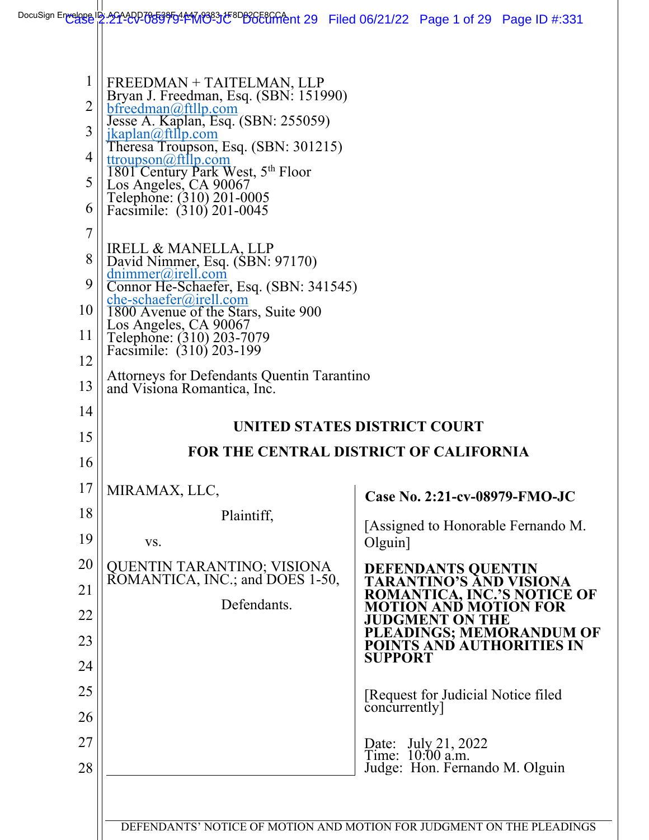| $\mathbf{1}$<br>$\overline{2}$<br>3<br>4<br>5<br>6<br>$\overline{7}$<br>8<br>9 | FREEDMAN + TAITELMAN, LLP<br>Bryan J. Freedman, Esq. (SBN: 151990)<br>bfreedman@ftllp.com<br>Jesse A. Kaplan, Esq. (SBN: 255059)<br>jkaplan@ftllp.com<br>Theresa Troupson, Esq. (SBN: 301215)<br>ttroupson@ftllp.com<br>1801 Century Park West, 5th Floor<br>Los Angeles, CA 90067<br>Telephone: (310) 201-0005<br>Facsimile: (310) 201-0045<br>IRELL & MANELLA, LLP<br>David Nimmer, Esq. (SBN: 97170)<br>$d$ nimmer@irell.com<br>Connor He-Schaefer, Esq. (SBN: 341545) |                                                                                 |
|--------------------------------------------------------------------------------|---------------------------------------------------------------------------------------------------------------------------------------------------------------------------------------------------------------------------------------------------------------------------------------------------------------------------------------------------------------------------------------------------------------------------------------------------------------------------|---------------------------------------------------------------------------------|
| 10<br>11                                                                       | $che-schaefer@irell.com$<br>1800 Avenue of the Stars, Suite 900<br>Los Angeles, CA 90067<br>Telephone: (310) 203-7079<br>Facsimile: (310) 203-199                                                                                                                                                                                                                                                                                                                         |                                                                                 |
| 12<br>13                                                                       | Attorneys for Defendants Quentin Tarantino<br>and Visiona Romantica, Inc.                                                                                                                                                                                                                                                                                                                                                                                                 |                                                                                 |
| 14                                                                             |                                                                                                                                                                                                                                                                                                                                                                                                                                                                           |                                                                                 |
| 15                                                                             | UNITED STATES DISTRICT COURT                                                                                                                                                                                                                                                                                                                                                                                                                                              |                                                                                 |
| 16                                                                             |                                                                                                                                                                                                                                                                                                                                                                                                                                                                           | <b>FOR THE CENTRAL DISTRICT OF CALIFORNIA</b>                                   |
| 17                                                                             | MIRAMAX, LLC,                                                                                                                                                                                                                                                                                                                                                                                                                                                             | Case No. 2:21-cv-08979-FMO-JC                                                   |
| 18                                                                             | Plaintiff,                                                                                                                                                                                                                                                                                                                                                                                                                                                                | [Assigned to Honorable Fernando M.                                              |
| 19                                                                             | VS.                                                                                                                                                                                                                                                                                                                                                                                                                                                                       | Olguin                                                                          |
| 20                                                                             | QUENTIN TARANTINO; VISIONA<br>ROMANTICA, INC.; and DOES 1-50,<br>Defendants.                                                                                                                                                                                                                                                                                                                                                                                              | DEFENDANTS QUENTIN<br>TARANTINO'S AND VISIONA                                   |
| 21                                                                             |                                                                                                                                                                                                                                                                                                                                                                                                                                                                           | <b>ROMANTICA, INC.'S NOTICE OF</b><br><b>MOTION AND MOTION FOR</b>              |
| 22                                                                             |                                                                                                                                                                                                                                                                                                                                                                                                                                                                           | <b>JUDGMENT ON THE</b><br>PLEADINGS; MEMORANDUM OF<br>POINTS AND AUTHORITIES IN |
| 23<br>24                                                                       |                                                                                                                                                                                                                                                                                                                                                                                                                                                                           | <b>SUPPORT</b>                                                                  |
| 25                                                                             |                                                                                                                                                                                                                                                                                                                                                                                                                                                                           |                                                                                 |
| 26                                                                             |                                                                                                                                                                                                                                                                                                                                                                                                                                                                           | [Request for Judicial Notice filed<br>concurrently]                             |
| 27<br>28                                                                       |                                                                                                                                                                                                                                                                                                                                                                                                                                                                           | Date: July 21, 2022<br>Time: 10:00 a.m.<br>Judge: Hon. Fernando M. Olguin       |
|                                                                                |                                                                                                                                                                                                                                                                                                                                                                                                                                                                           | DEFENDANTS' NOTICE OF MOTION AND MOTION FOR JUDGMENT ON THE PLEADINGS           |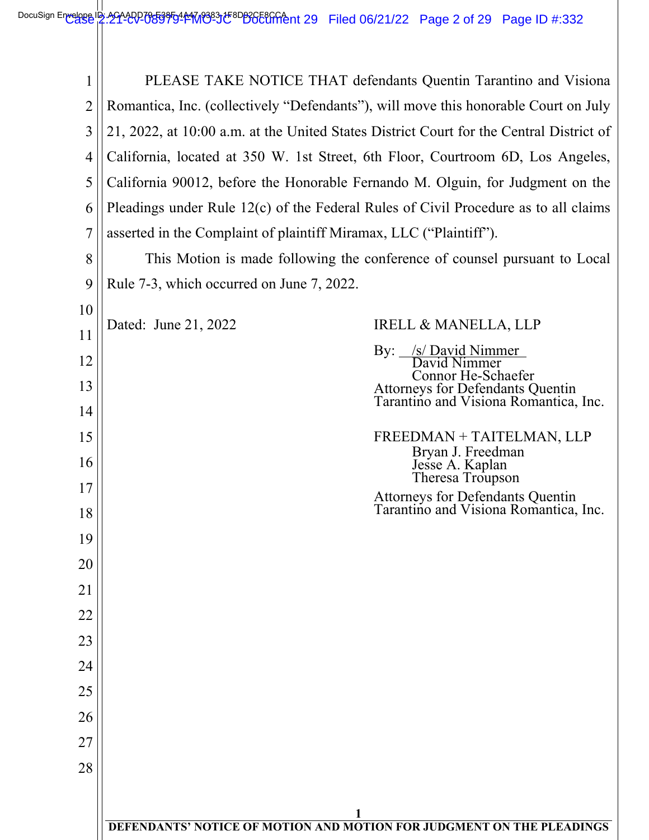| 1              |                                                                                         | PLEASE TAKE NOTICE THAT defendants Quentin Tarantino and Visiona                                |
|----------------|-----------------------------------------------------------------------------------------|-------------------------------------------------------------------------------------------------|
| $\overline{2}$ | Romantica, Inc. (collectively "Defendants"), will move this honorable Court on July     |                                                                                                 |
| 3              | 21, 2022, at 10:00 a.m. at the United States District Court for the Central District of |                                                                                                 |
| $\overline{4}$ | California, located at 350 W. 1st Street, 6th Floor, Courtroom 6D, Los Angeles,         |                                                                                                 |
| 5              | California 90012, before the Honorable Fernando M. Olguin, for Judgment on the          |                                                                                                 |
| 6              | Pleadings under Rule $12(c)$ of the Federal Rules of Civil Procedure as to all claims   |                                                                                                 |
| 7              | asserted in the Complaint of plaintiff Miramax, LLC ("Plaintiff").                      |                                                                                                 |
| 8              |                                                                                         | This Motion is made following the conference of counsel pursuant to Local                       |
| 9              | Rule 7-3, which occurred on June 7, 2022.                                               |                                                                                                 |
| 10             |                                                                                         |                                                                                                 |
| 11             | Dated: June 21, 2022                                                                    | <b>IRELL &amp; MANELLA, LLP</b>                                                                 |
| 12             |                                                                                         | By: /s/ David Nimmer<br>David Nimmer                                                            |
| 13             |                                                                                         | Connor He-Schaefer<br>Attorneys for Defendants Quentin<br>Tarantino and Visiona Romantica, Inc. |
| 14             |                                                                                         |                                                                                                 |
| 15             |                                                                                         | FREEDMAN + TAITELMAN, LLP<br>Bryan J. Freedman                                                  |
| 16             |                                                                                         | Jesse A. Kaplan<br>Theresa Troupson                                                             |
| 17             |                                                                                         | Attorneys for Defendants Quentin<br>Tarantino and Visiona Romantica, Inc.                       |
| 18             |                                                                                         |                                                                                                 |
| 19             |                                                                                         |                                                                                                 |
| 20             |                                                                                         |                                                                                                 |
| 21             |                                                                                         |                                                                                                 |
| 22             |                                                                                         |                                                                                                 |
| 23             |                                                                                         |                                                                                                 |
| 24             |                                                                                         |                                                                                                 |
| 25             |                                                                                         |                                                                                                 |
| 26             |                                                                                         |                                                                                                 |
| 27             |                                                                                         |                                                                                                 |
| 28             |                                                                                         |                                                                                                 |
|                |                                                                                         |                                                                                                 |
|                | DEFENDANTS' NOTICE OF MOTION AND MOTION FOR JUDGMENT ON THE PLEADINGS                   |                                                                                                 |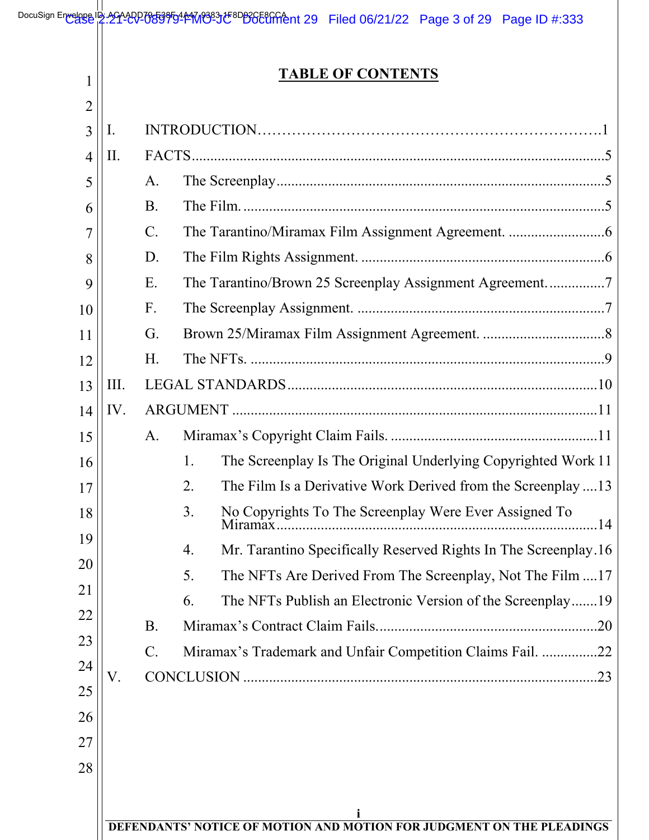| 1                    |                 | <b>TABLE OF CONTENTS</b>                                              |
|----------------------|-----------------|-----------------------------------------------------------------------|
| 2<br>3<br>I.         |                 |                                                                       |
| Π.<br>$\overline{4}$ |                 |                                                                       |
| 5                    | Α.              |                                                                       |
| 6                    | <b>B.</b>       |                                                                       |
| 7                    | $C$ .           |                                                                       |
| 8                    | D.              |                                                                       |
| 9                    | Ε.              | The Tarantino/Brown 25 Screenplay Assignment Agreement7               |
| 10                   | $F_{\cdot}$     |                                                                       |
| 11                   | G.              |                                                                       |
| 12                   | H.              |                                                                       |
| III.<br>13           |                 |                                                                       |
| IV.<br>14            |                 |                                                                       |
| 15                   | A.              |                                                                       |
| 16                   |                 | The Screenplay Is The Original Underlying Copyrighted Work 11<br>1.   |
| 17                   |                 | The Film Is a Derivative Work Derived from the Screenplay 13<br>2.    |
| 18                   |                 | 3.<br>No Copyrights To The Screenplay Were Ever Assigned To           |
| 19                   |                 | Mr. Tarantino Specifically Reserved Rights In The Screenplay.16<br>4. |
| 20                   |                 | 5.<br>The NFTs Are Derived From The Screenplay, Not The Film 17       |
| 21                   |                 | The NFTs Publish an Electronic Version of the Screenplay19<br>6.      |
| 22                   | <b>B.</b>       |                                                                       |
| 23                   | $\mathcal{C}$ . | Miramax's Trademark and Unfair Competition Claims Fail. 22            |
| 24<br>V.             |                 |                                                                       |
| 25                   |                 |                                                                       |
| 26                   |                 |                                                                       |
| 27                   |                 |                                                                       |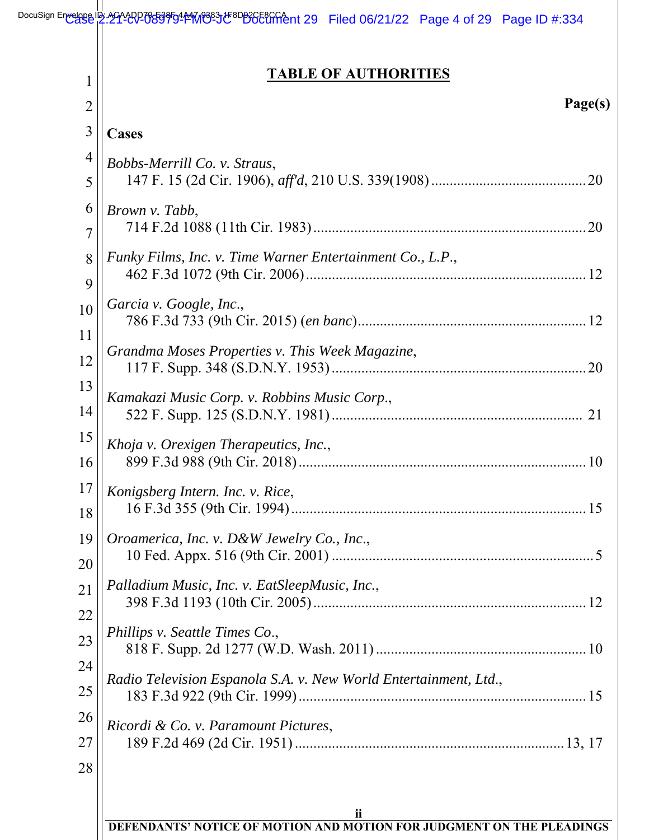DocuSign Envelope ID: 221-20270553950144M89837tF8DB3GE8GGeht 29 Filed 06/21/22 Page 4 of 29 Page ID #:334

## **TABLE OF AUTHORITIES**

| 1              | <b>TABLE OF AUTHORITIES</b>                                                 |
|----------------|-----------------------------------------------------------------------------|
| $\overline{2}$ | Page(s)                                                                     |
| 3              | Cases                                                                       |
| 4              | Bobbs-Merrill Co. v. Straus,                                                |
| 5              |                                                                             |
| 6              | Brown v. Tabb,                                                              |
| 7              |                                                                             |
| 8              | Funky Films, Inc. v. Time Warner Entertainment Co., L.P.,                   |
| 9              |                                                                             |
| 10             | Garcia v. Google, Inc.,                                                     |
| 11             |                                                                             |
| 12             | Grandma Moses Properties v. This Week Magazine,                             |
| 13             | Kamakazi Music Corp. v. Robbins Music Corp.,                                |
| 14             |                                                                             |
| 15             | Khoja v. Orexigen Therapeutics, Inc.,                                       |
| 16             |                                                                             |
| 17             | Konigsberg Intern. Inc. v. Rice,                                            |
| 18             |                                                                             |
| 19             | Oroamerica, Inc. v. D&W Jewelry Co., Inc.,                                  |
| 20             |                                                                             |
| 21             | Palladium Music, Inc. v. EatSleepMusic, Inc.,                               |
| 22             |                                                                             |
| 23             | Phillips v. Seattle Times Co.,                                              |
| 24             |                                                                             |
| 25             | Radio Television Espanola S.A. v. New World Entertainment, Ltd.,            |
| 26             | Ricordi & Co. v. Paramount Pictures,                                        |
| 27             |                                                                             |
| 28             | ii<br>DEFENDANTS' NOTICE OF MOTION AND MOTION FOR JUDGMENT ON THE PLEADINGS |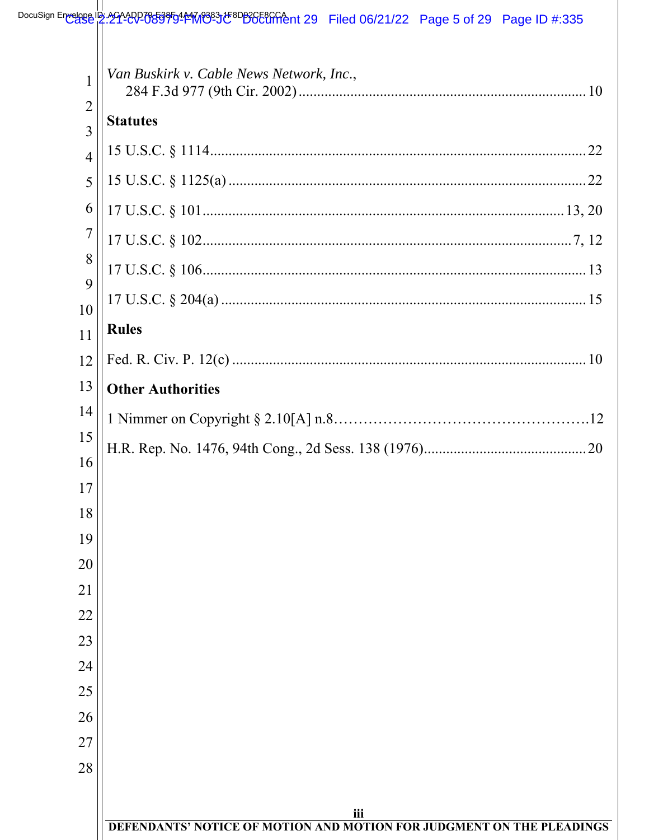# DocuSign Envelope IB: 2014002053950114M838312F8DB2CF8CrChent 29 Filed 06/21/22 Page 5 of 29 Page ID #:335

| 1<br>$\overline{2}$<br>$\overline{3}$ | Van Buskirk v. Cable News Network, Inc.,<br><b>Statutes</b>                  |
|---------------------------------------|------------------------------------------------------------------------------|
| $\overline{4}$                        |                                                                              |
| 5                                     |                                                                              |
| 6                                     |                                                                              |
| $\overline{7}$                        |                                                                              |
| 8                                     |                                                                              |
| 9                                     |                                                                              |
| 10<br>11                              | <b>Rules</b>                                                                 |
| 12                                    |                                                                              |
| 13                                    | <b>Other Authorities</b>                                                     |
| 14                                    |                                                                              |
| 15                                    |                                                                              |
| 16                                    |                                                                              |
| 17                                    |                                                                              |
| 18                                    |                                                                              |
| 19                                    |                                                                              |
| 20<br>21                              |                                                                              |
| 22                                    |                                                                              |
| 23                                    |                                                                              |
| 24                                    |                                                                              |
| 25                                    |                                                                              |
| 26                                    |                                                                              |
| 27                                    |                                                                              |
| 28                                    |                                                                              |
|                                       |                                                                              |
|                                       | iii<br>DEFENDANTS' NOTICE OF MOTION AND MOTION FOR JUDGMENT ON THE PLEADINGS |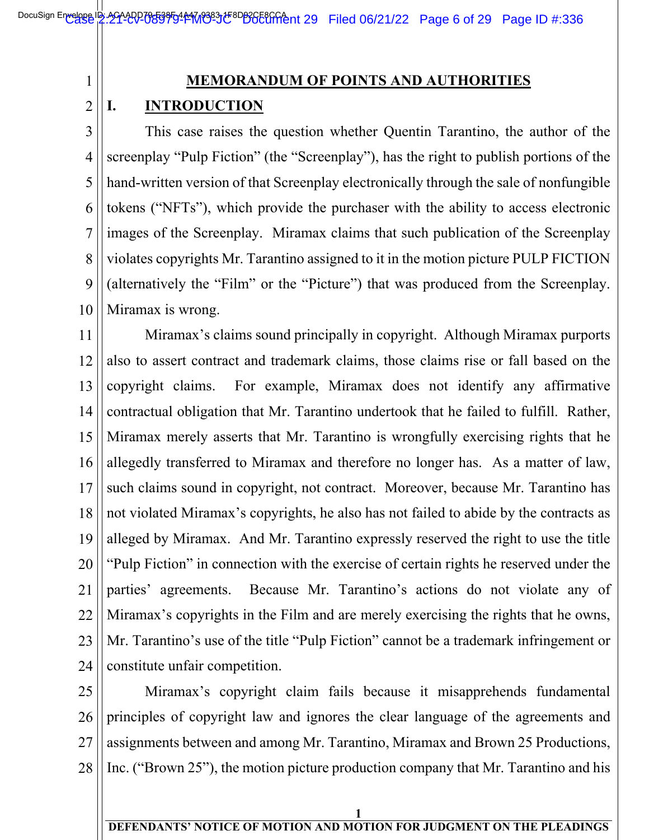#### **MEMORANDUM OF POINTS AND AUTHORITIES**

#### 2  $\overline{\phantom{a}}$ **I. INTRODUCTION**

1

3 4 5 6 7 8 9 10 This case raises the question whether Quentin Tarantino, the author of the screenplay "Pulp Fiction" (the "Screenplay"), has the right to publish portions of the hand-written version of that Screenplay electronically through the sale of nonfungible tokens ("NFTs"), which provide the purchaser with the ability to access electronic images of the Screenplay. Miramax claims that such publication of the Screenplay violates copyrights Mr. Tarantino assigned to it in the motion picture PULP FICTION (alternatively the "Film" or the "Picture") that was produced from the Screenplay. Miramax is wrong.

11 12 13 14 15 16 17 18 19 20 21 22 23 24 Miramax's claims sound principally in copyright. Although Miramax purports also to assert contract and trademark claims, those claims rise or fall based on the copyright claims. For example, Miramax does not identify any affirmative contractual obligation that Mr. Tarantino undertook that he failed to fulfill. Rather, Miramax merely asserts that Mr. Tarantino is wrongfully exercising rights that he allegedly transferred to Miramax and therefore no longer has. As a matter of law, such claims sound in copyright, not contract. Moreover, because Mr. Tarantino has not violated Miramax's copyrights, he also has not failed to abide by the contracts as alleged by Miramax. And Mr. Tarantino expressly reserved the right to use the title "Pulp Fiction" in connection with the exercise of certain rights he reserved under the parties' agreements. Because Mr. Tarantino's actions do not violate any of Miramax's copyrights in the Film and are merely exercising the rights that he owns, Mr. Tarantino's use of the title "Pulp Fiction" cannot be a trademark infringement or constitute unfair competition.

25 26 27 28 Miramax's copyright claim fails because it misapprehends fundamental principles of copyright law and ignores the clear language of the agreements and assignments between and among Mr. Tarantino, Miramax and Brown 25 Productions, Inc. ("Brown 25"), the motion picture production company that Mr. Tarantino and his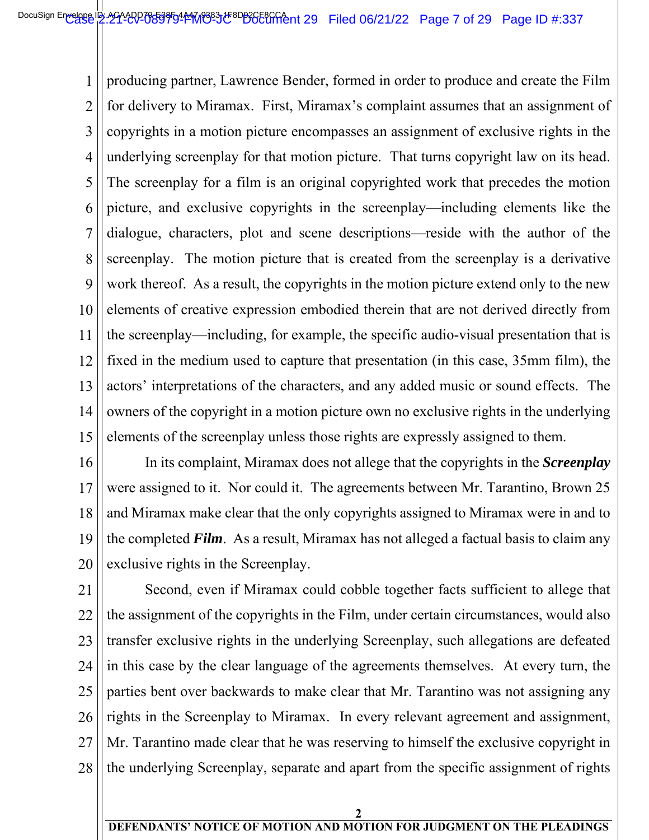1 2 3 4 5 6 7 8 9 10 11 12 13 14 15  $\overline{\phantom{a}}$ producing partner, Lawrence Bender, formed in order to produce and create the Film for delivery to Miramax. First, Miramax's complaint assumes that an assignment of copyrights in a motion picture encompasses an assignment of exclusive rights in the underlying screenplay for that motion picture. That turns copyright law on its head. The screenplay for a film is an original copyrighted work that precedes the motion picture, and exclusive copyrights in the screenplay—including elements like the dialogue, characters, plot and scene descriptions—reside with the author of the screenplay. The motion picture that is created from the screenplay is a derivative work thereof. As a result, the copyrights in the motion picture extend only to the new elements of creative expression embodied therein that are not derived directly from the screenplay—including, for example, the specific audio-visual presentation that is fixed in the medium used to capture that presentation (in this case, 35mm film), the actors' interpretations of the characters, and any added music or sound effects. The owners of the copyright in a motion picture own no exclusive rights in the underlying elements of the screenplay unless those rights are expressly assigned to them.

16 17 18 19 20 In its complaint, Miramax does not allege that the copyrights in the *Screenplay* were assigned to it. Nor could it. The agreements between Mr. Tarantino, Brown 25 and Miramax make clear that the only copyrights assigned to Miramax were in and to the completed *Film*. As a result, Miramax has not alleged a factual basis to claim any exclusive rights in the Screenplay.

21 22 23 24 25 26 27 28 Second, even if Miramax could cobble together facts sufficient to allege that the assignment of the copyrights in the Film, under certain circumstances, would also transfer exclusive rights in the underlying Screenplay, such allegations are defeated in this case by the clear language of the agreements themselves. At every turn, the parties bent over backwards to make clear that Mr. Tarantino was not assigning any rights in the Screenplay to Miramax. In every relevant agreement and assignment, Mr. Tarantino made clear that he was reserving to himself the exclusive copyright in the underlying Screenplay, separate and apart from the specific assignment of rights

**2**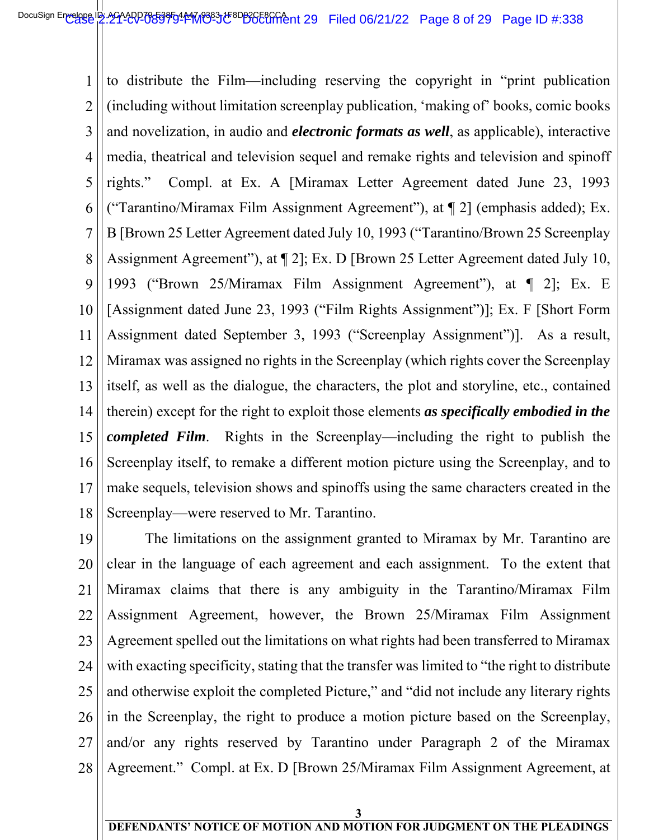1 2 3 4 5 6 7 8 9 10 11 12 13 14 15 16 17 18  $\overline{\phantom{a}}$ to distribute the Film—including reserving the copyright in "print publication (including without limitation screenplay publication, 'making of' books, comic books and novelization, in audio and *electronic formats as well*, as applicable), interactive media, theatrical and television sequel and remake rights and television and spinoff rights." Compl. at Ex. A [Miramax Letter Agreement dated June 23, 1993 ("Tarantino/Miramax Film Assignment Agreement"), at ¶ 2] (emphasis added); Ex. B [Brown 25 Letter Agreement dated July 10, 1993 ("Tarantino/Brown 25 Screenplay Assignment Agreement"), at ¶ 2]; Ex. D [Brown 25 Letter Agreement dated July 10, 1993 ("Brown 25/Miramax Film Assignment Agreement"), at ¶ 2]; Ex. E [Assignment dated June 23, 1993 ("Film Rights Assignment")]; Ex. F [Short Form Assignment dated September 3, 1993 ("Screenplay Assignment")]. As a result, Miramax was assigned no rights in the Screenplay (which rights cover the Screenplay itself, as well as the dialogue, the characters, the plot and storyline, etc., contained therein) except for the right to exploit those elements *as specifically embodied in the completed Film*. Rights in the Screenplay—including the right to publish the Screenplay itself, to remake a different motion picture using the Screenplay, and to make sequels, television shows and spinoffs using the same characters created in the Screenplay—were reserved to Mr. Tarantino.

19 20 21 22 23 24 25 26 27 28 The limitations on the assignment granted to Miramax by Mr. Tarantino are clear in the language of each agreement and each assignment. To the extent that Miramax claims that there is any ambiguity in the Tarantino/Miramax Film Assignment Agreement, however, the Brown 25/Miramax Film Assignment Agreement spelled out the limitations on what rights had been transferred to Miramax with exacting specificity, stating that the transfer was limited to "the right to distribute and otherwise exploit the completed Picture," and "did not include any literary rights in the Screenplay, the right to produce a motion picture based on the Screenplay, and/or any rights reserved by Tarantino under Paragraph 2 of the Miramax Agreement." Compl. at Ex. D [Brown 25/Miramax Film Assignment Agreement, at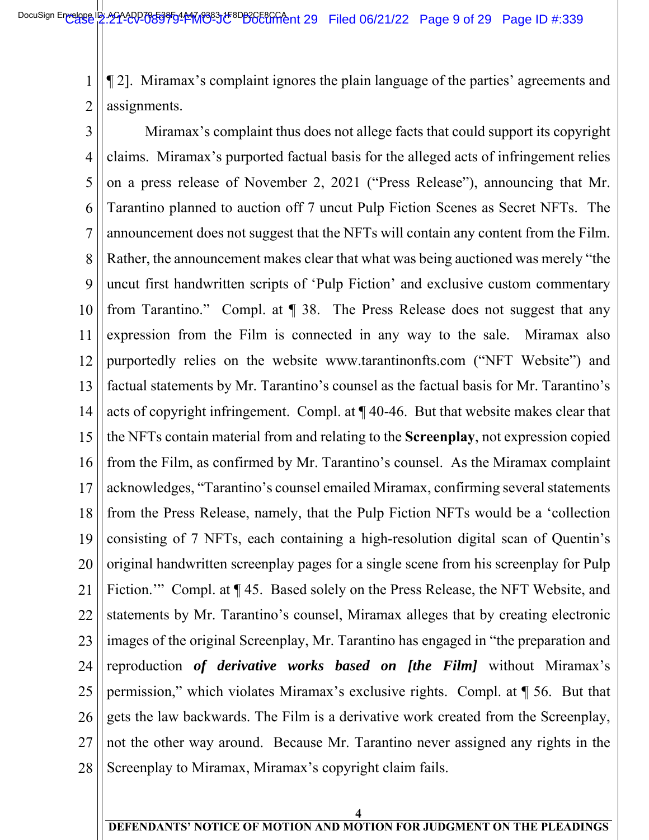1 2  $\overline{\phantom{a}}$ ¶ 2]. Miramax's complaint ignores the plain language of the parties' agreements and assignments.

3 4 5 6 7 8 9 10 11 12 13 14 15 16 17 18 19 20 21 22 23 24 25 26 27 28 Miramax's complaint thus does not allege facts that could support its copyright claims. Miramax's purported factual basis for the alleged acts of infringement relies on a press release of November 2, 2021 ("Press Release"), announcing that Mr. Tarantino planned to auction off 7 uncut Pulp Fiction Scenes as Secret NFTs. The announcement does not suggest that the NFTs will contain any content from the Film. Rather, the announcement makes clear that what was being auctioned was merely "the uncut first handwritten scripts of 'Pulp Fiction' and exclusive custom commentary from Tarantino." Compl. at ¶ 38. The Press Release does not suggest that any expression from the Film is connected in any way to the sale. Miramax also purportedly relies on the website www.tarantinonfts.com ("NFT Website") and factual statements by Mr. Tarantino's counsel as the factual basis for Mr. Tarantino's acts of copyright infringement. Compl. at ¶ 40-46. But that website makes clear that the NFTs contain material from and relating to the **Screenplay**, not expression copied from the Film, as confirmed by Mr. Tarantino's counsel. As the Miramax complaint acknowledges, "Tarantino's counsel emailed Miramax, confirming several statements from the Press Release, namely, that the Pulp Fiction NFTs would be a 'collection consisting of 7 NFTs, each containing a high-resolution digital scan of Quentin's original handwritten screenplay pages for a single scene from his screenplay for Pulp Fiction.'" Compl. at  $\P$  45. Based solely on the Press Release, the NFT Website, and statements by Mr. Tarantino's counsel, Miramax alleges that by creating electronic images of the original Screenplay, Mr. Tarantino has engaged in "the preparation and reproduction *of derivative works based on [the Film]* without Miramax's permission," which violates Miramax's exclusive rights. Compl. at ¶ 56. But that gets the law backwards. The Film is a derivative work created from the Screenplay, not the other way around. Because Mr. Tarantino never assigned any rights in the Screenplay to Miramax, Miramax's copyright claim fails.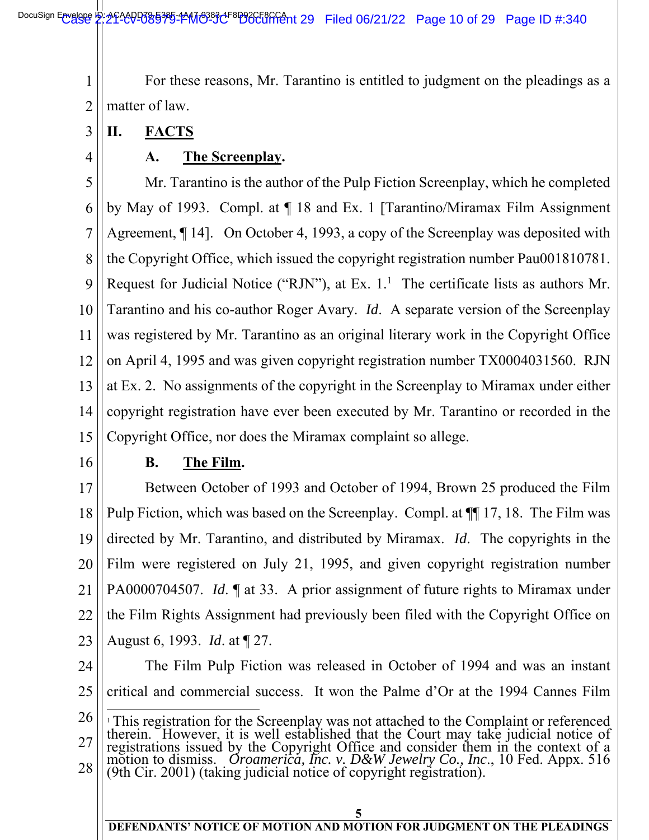1 2  $\overline{\phantom{a}}$ For these reasons, Mr. Tarantino is entitled to judgment on the pleadings as a matter of law.

- 3 **II. FACTS**
- 4

### **A. The Screenplay.**

5 6 7 8 9 10 11 12 13 14 15 Mr. Tarantino is the author of the Pulp Fiction Screenplay, which he completed by May of 1993. Compl. at ¶ 18 and Ex. 1 [Tarantino/Miramax Film Assignment Agreement, ¶ 14]. On October 4, 1993, a copy of the Screenplay was deposited with the Copyright Office, which issued the copyright registration number Pau001810781. Request for Judicial Notice ("RJN"), at Ex.  $1<sup>1</sup>$  The certificate lists as authors Mr. Tarantino and his co-author Roger Avary. *Id*. A separate version of the Screenplay was registered by Mr. Tarantino as an original literary work in the Copyright Office on April 4, 1995 and was given copyright registration number TX0004031560. RJN at Ex. 2. No assignments of the copyright in the Screenplay to Miramax under either copyright registration have ever been executed by Mr. Tarantino or recorded in the Copyright Office, nor does the Miramax complaint so allege.

16

#### **B. The Film.**

17 18 19 20 21 22 23 Between October of 1993 and October of 1994, Brown 25 produced the Film Pulp Fiction, which was based on the Screenplay. Compl. at ¶¶ 17, 18. The Film was directed by Mr. Tarantino, and distributed by Miramax. *Id*. The copyrights in the Film were registered on July 21, 1995, and given copyright registration number PA0000704507. *Id*. ¶ at 33. A prior assignment of future rights to Miramax under the Film Rights Assignment had previously been filed with the Copyright Office on August 6, 1993. *Id*. at ¶ 27.

24 25 The Film Pulp Fiction was released in October of 1994 and was an instant critical and commercial success. It won the Palme d'Or at the 1994 Cannes Film

<sup>26</sup>  27 28 l <sup>1</sup>This registration for the Screenplay was not attached to the Complaint or referenced therein. However, it is well established that the Court may take judicial notice of registrations issued by the Copyright Office and c motion to dismiss. *Oroamerica, Inc. v. D&W Jewelry Co., Inc*., 10 Fed. Appx. 516 (9th Cir. 2001) (taking judicial notice of copyright registration).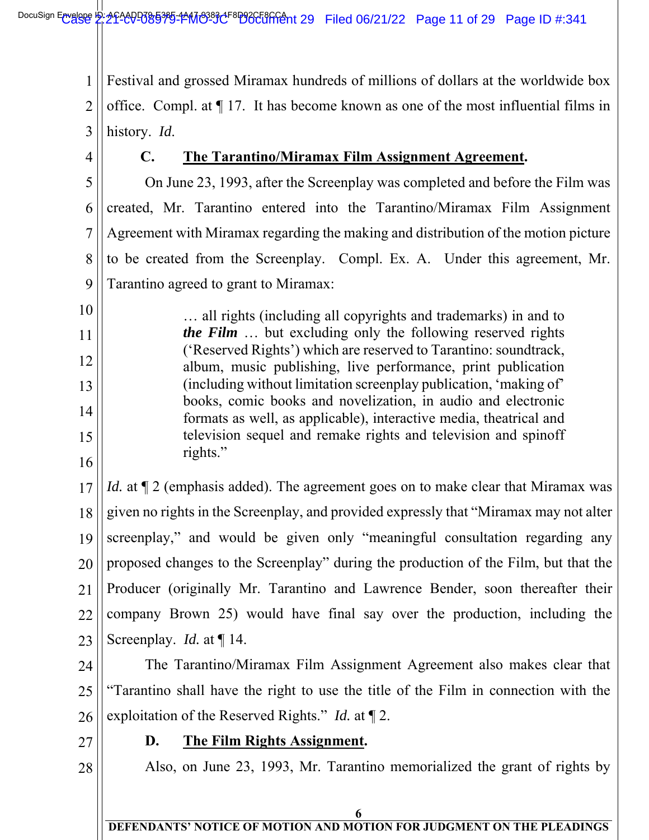1 2 3  $\overline{\phantom{a}}$ Festival and grossed Miramax hundreds of millions of dollars at the worldwide box office. Compl. at ¶ 17. It has become known as one of the most influential films in history. *Id*.

4

10

11

12

13

14

15

16

#### **C. The Tarantino/Miramax Film Assignment Agreement.**

5 6 7 8 9 On June 23, 1993, after the Screenplay was completed and before the Film was created, Mr. Tarantino entered into the Tarantino/Miramax Film Assignment Agreement with Miramax regarding the making and distribution of the motion picture to be created from the Screenplay. Compl. Ex. A. Under this agreement, Mr. Tarantino agreed to grant to Miramax:

… all rights (including all copyrights and trademarks) in and to *the Film* … but excluding only the following reserved rights ('Reserved Rights') which are reserved to Tarantino: soundtrack, album, music publishing, live performance, print publication (including without limitation screenplay publication, 'making of' books, comic books and novelization, in audio and electronic formats as well, as applicable), interactive media, theatrical and television sequel and remake rights and television and spinoff rights."

17 18 19 20 21 22 23 *Id.* at  $\mathbb{I}$  2 (emphasis added). The agreement goes on to make clear that Miramax was given no rights in the Screenplay, and provided expressly that "Miramax may not alter screenplay," and would be given only "meaningful consultation regarding any proposed changes to the Screenplay" during the production of the Film, but that the Producer (originally Mr. Tarantino and Lawrence Bender, soon thereafter their company Brown 25) would have final say over the production, including the Screenplay. *Id.* at ¶ 14.

24 25 26 The Tarantino/Miramax Film Assignment Agreement also makes clear that "Tarantino shall have the right to use the title of the Film in connection with the exploitation of the Reserved Rights." *Id.* at ¶ 2.

27

#### **D. The Film Rights Assignment.**

28

Also, on June 23, 1993, Mr. Tarantino memorialized the grant of rights by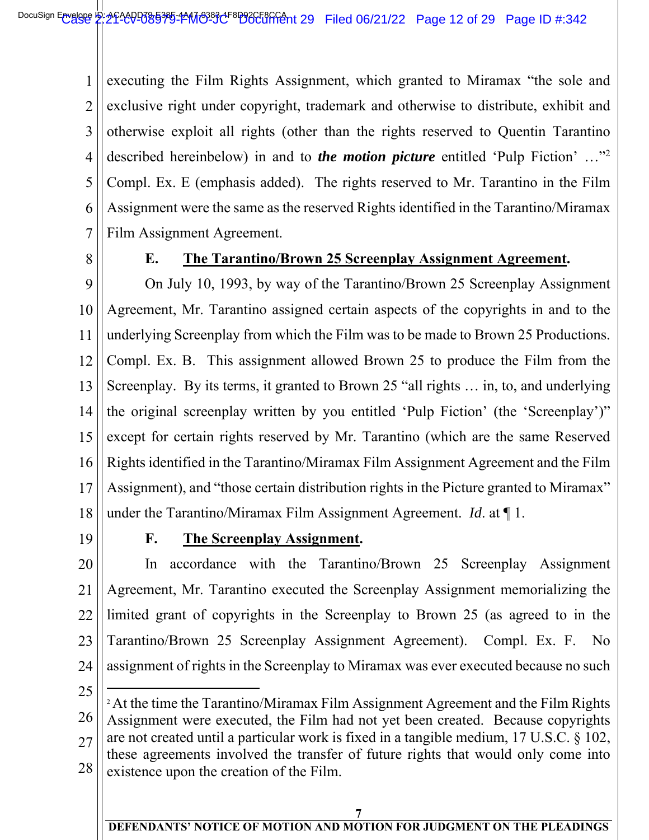1 2 3 4 5 6 7  $\overline{\phantom{a}}$ executing the Film Rights Assignment, which granted to Miramax "the sole and exclusive right under copyright, trademark and otherwise to distribute, exhibit and otherwise exploit all rights (other than the rights reserved to Quentin Tarantino described hereinbelow) in and to *the motion picture* entitled 'Pulp Fiction' …"2 Compl. Ex. E (emphasis added). The rights reserved to Mr. Tarantino in the Film Assignment were the same as the reserved Rights identified in the Tarantino/Miramax Film Assignment Agreement.

8

#### **E. The Tarantino/Brown 25 Screenplay Assignment Agreement.**

9 10 11 12 13 14 15 16 17 18 On July 10, 1993, by way of the Tarantino/Brown 25 Screenplay Assignment Agreement, Mr. Tarantino assigned certain aspects of the copyrights in and to the underlying Screenplay from which the Film was to be made to Brown 25 Productions. Compl. Ex. B. This assignment allowed Brown 25 to produce the Film from the Screenplay. By its terms, it granted to Brown 25 "all rights … in, to, and underlying the original screenplay written by you entitled 'Pulp Fiction' (the 'Screenplay')" except for certain rights reserved by Mr. Tarantino (which are the same Reserved Rights identified in the Tarantino/Miramax Film Assignment Agreement and the Film Assignment), and "those certain distribution rights in the Picture granted to Miramax" under the Tarantino/Miramax Film Assignment Agreement. *Id*. at ¶ 1.

19

#### **F. The Screenplay Assignment.**

20 21 22 23 24 In accordance with the Tarantino/Brown 25 Screenplay Assignment Agreement, Mr. Tarantino executed the Screenplay Assignment memorializing the limited grant of copyrights in the Screenplay to Brown 25 (as agreed to in the Tarantino/Brown 25 Screenplay Assignment Agreement). Compl. Ex. F. No assignment of rights in the Screenplay to Miramax was ever executed because no such

25

 $\overline{a}$ 

26 27 28 <sup>2</sup> At the time the Tarantino/Miramax Film Assignment Agreement and the Film Rights Assignment were executed, the Film had not yet been created. Because copyrights are not created until a particular work is fixed in a tangible medium, 17 U.S.C. § 102, these agreements involved the transfer of future rights that would only come into existence upon the creation of the Film.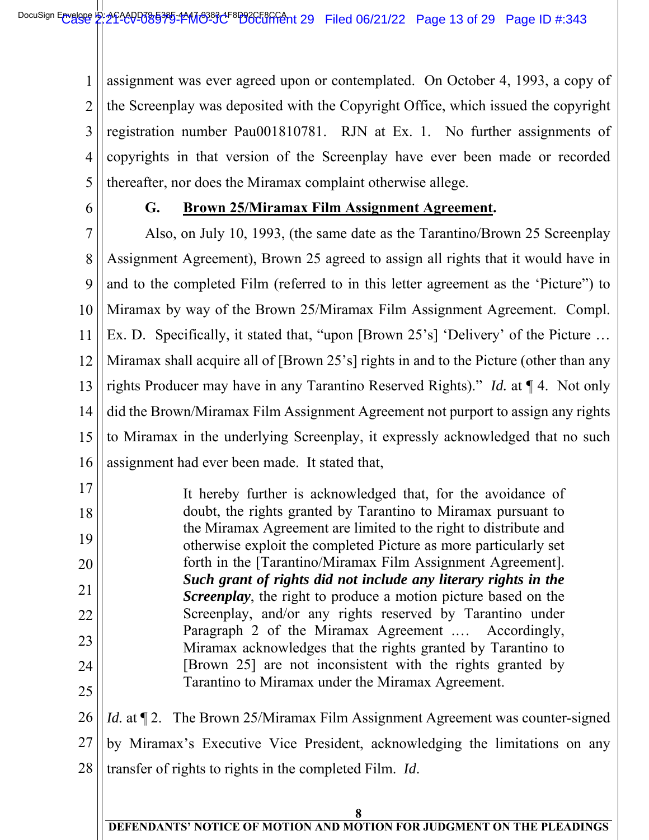1 2 3 4 5  $\overline{\phantom{a}}$ assignment was ever agreed upon or contemplated. On October 4, 1993, a copy of the Screenplay was deposited with the Copyright Office, which issued the copyright registration number Pau001810781. RJN at Ex. 1. No further assignments of copyrights in that version of the Screenplay have ever been made or recorded thereafter, nor does the Miramax complaint otherwise allege.

6

#### **G. Brown 25/Miramax Film Assignment Agreement.**

7 8 9 10 11 12 13 14 15 16 Also, on July 10, 1993, (the same date as the Tarantino/Brown 25 Screenplay Assignment Agreement), Brown 25 agreed to assign all rights that it would have in and to the completed Film (referred to in this letter agreement as the 'Picture") to Miramax by way of the Brown 25/Miramax Film Assignment Agreement. Compl. Ex. D. Specifically, it stated that, "upon [Brown 25's] 'Delivery' of the Picture … Miramax shall acquire all of [Brown 25's] rights in and to the Picture (other than any rights Producer may have in any Tarantino Reserved Rights)." *Id.* at ¶ 4. Not only did the Brown/Miramax Film Assignment Agreement not purport to assign any rights to Miramax in the underlying Screenplay, it expressly acknowledged that no such assignment had ever been made. It stated that,

17 18 19 20 21 22 23 24 25 It hereby further is acknowledged that, for the avoidance of doubt, the rights granted by Tarantino to Miramax pursuant to the Miramax Agreement are limited to the right to distribute and otherwise exploit the completed Picture as more particularly set forth in the [Tarantino/Miramax Film Assignment Agreement]. *Such grant of rights did not include any literary rights in the Screenplay*, the right to produce a motion picture based on the Screenplay, and/or any rights reserved by Tarantino under Paragraph 2 of the Miramax Agreement .… Accordingly, Miramax acknowledges that the rights granted by Tarantino to [Brown 25] are not inconsistent with the rights granted by Tarantino to Miramax under the Miramax Agreement.

26 27 28 *Id.* at  $\P$  2. The Brown 25/Miramax Film Assignment Agreement was counter-signed by Miramax's Executive Vice President, acknowledging the limitations on any transfer of rights to rights in the completed Film. *Id*.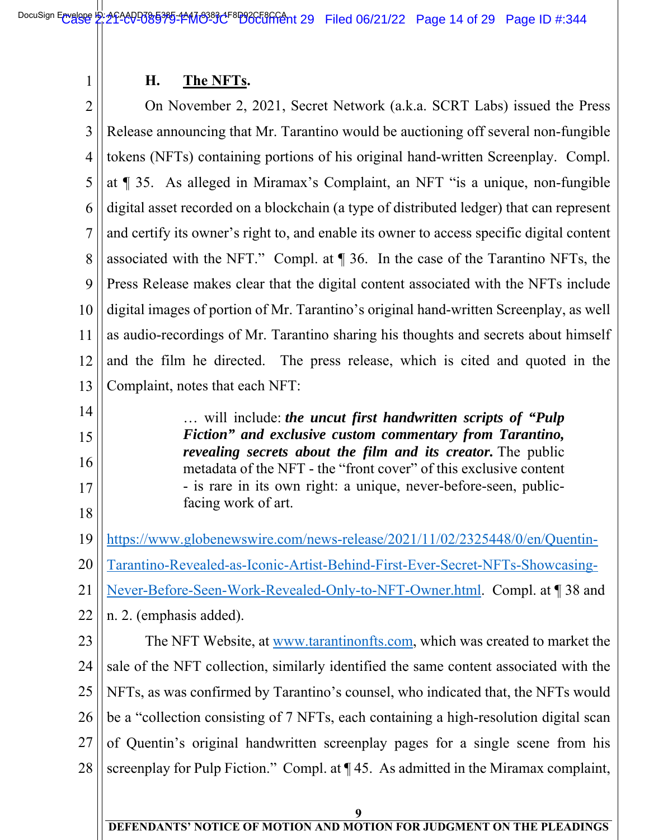#### **H. The NFTs.**

2 3 4 5 6 7 8 9 10 11 12 13  $\overline{\phantom{a}}$  On November 2, 2021, Secret Network (a.k.a. SCRT Labs) issued the Press Release announcing that Mr. Tarantino would be auctioning off several non-fungible tokens (NFTs) containing portions of his original hand-written Screenplay. Compl. at ¶ 35. As alleged in Miramax's Complaint, an NFT "is a unique, non-fungible digital asset recorded on a blockchain (a type of distributed ledger) that can represent and certify its owner's right to, and enable its owner to access specific digital content associated with the NFT." Compl. at ¶ 36. In the case of the Tarantino NFTs, the Press Release makes clear that the digital content associated with the NFTs include digital images of portion of Mr. Tarantino's original hand-written Screenplay, as well as audio-recordings of Mr. Tarantino sharing his thoughts and secrets about himself and the film he directed. The press release, which is cited and quoted in the Complaint, notes that each NFT:

> … will include: *the uncut first handwritten scripts of "Pulp Fiction" and exclusive custom commentary from Tarantino, revealing secrets about the film and its creator.* The public metadata of the NFT - the "front cover" of this exclusive content - is rare in its own right: a unique, never-before-seen, public-

14

1

15 16

- 
- 17
- 18

19

20 Tarantino-Revealed-as-Iconic-Artist-Behind-First-Ever-Secret-NFTs-Showcasing-

https://www.globenewswire.com/news-release/2021/11/02/2325448/0/en/Quentin-

21 Never-Before-Seen-Work-Revealed-Only-to-NFT-Owner.html. Compl. at ¶ 38 and

22 n. 2. (emphasis added).

facing work of art.

23 24 25 26 27 28 The NFT Website, at www.tarantinonfts.com, which was created to market the sale of the NFT collection, similarly identified the same content associated with the NFTs, as was confirmed by Tarantino's counsel, who indicated that, the NFTs would be a "collection consisting of 7 NFTs, each containing a high-resolution digital scan of Quentin's original handwritten screenplay pages for a single scene from his screenplay for Pulp Fiction." Compl. at  $\P$  45. As admitted in the Miramax complaint,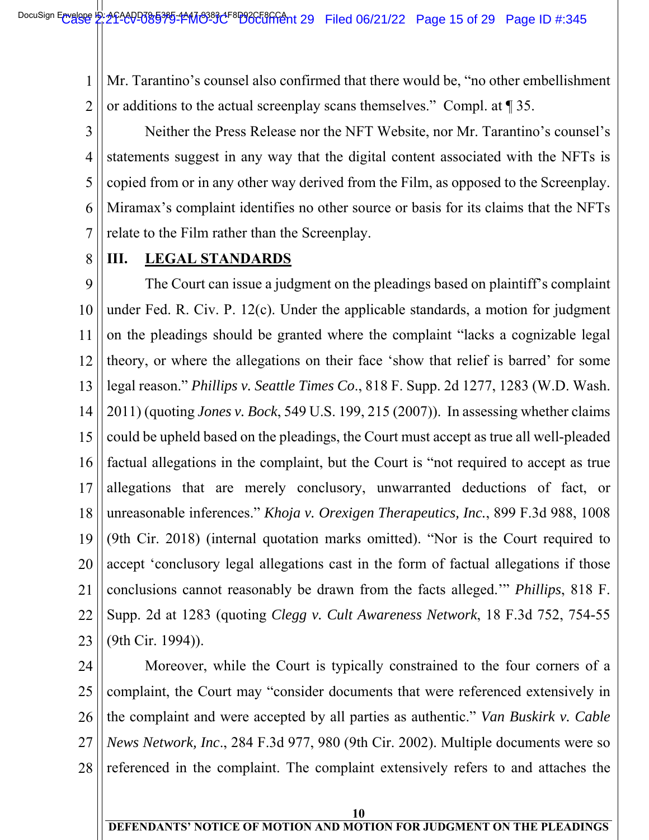1 2  $\overline{\phantom{a}}$ Mr. Tarantino's counsel also confirmed that there would be, "no other embellishment or additions to the actual screenplay scans themselves." Compl. at ¶ 35.

3 4 5 6 7 Neither the Press Release nor the NFT Website, nor Mr. Tarantino's counsel's statements suggest in any way that the digital content associated with the NFTs is copied from or in any other way derived from the Film, as opposed to the Screenplay. Miramax's complaint identifies no other source or basis for its claims that the NFTs relate to the Film rather than the Screenplay.

8

#### **III. LEGAL STANDARDS**

9 10 11 12 13 14 15 16 17 18 19 20 21 22 23 The Court can issue a judgment on the pleadings based on plaintiff's complaint under Fed. R. Civ. P. 12(c). Under the applicable standards, a motion for judgment on the pleadings should be granted where the complaint "lacks a cognizable legal theory, or where the allegations on their face 'show that relief is barred' for some legal reason." *Phillips v. Seattle Times Co*., 818 F. Supp. 2d 1277, 1283 (W.D. Wash. 2011) (quoting *Jones v. Bock*, 549 U.S. 199, 215 (2007)). In assessing whether claims could be upheld based on the pleadings, the Court must accept as true all well-pleaded factual allegations in the complaint, but the Court is "not required to accept as true allegations that are merely conclusory, unwarranted deductions of fact, or unreasonable inferences." *Khoja v. Orexigen Therapeutics, Inc.*, 899 F.3d 988, 1008 (9th Cir. 2018) (internal quotation marks omitted). "Nor is the Court required to accept 'conclusory legal allegations cast in the form of factual allegations if those conclusions cannot reasonably be drawn from the facts alleged.'" *Phillips*, 818 F. Supp. 2d at 1283 (quoting *Clegg v. Cult Awareness Network*, 18 F.3d 752, 754-55 (9th Cir. 1994)).

24 25 26 27 28 Moreover, while the Court is typically constrained to the four corners of a complaint, the Court may "consider documents that were referenced extensively in the complaint and were accepted by all parties as authentic." *Van Buskirk v. Cable News Network, Inc*., 284 F.3d 977, 980 (9th Cir. 2002). Multiple documents were so referenced in the complaint. The complaint extensively refers to and attaches the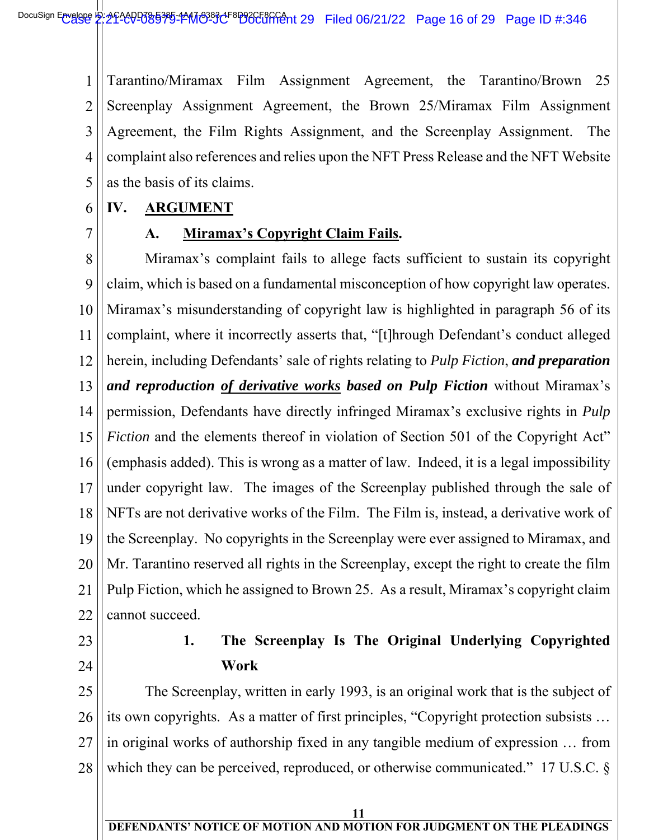1 2 3 4 5  $\overline{\phantom{a}}$ Tarantino/Miramax Film Assignment Agreement, the Tarantino/Brown 25 Screenplay Assignment Agreement, the Brown 25/Miramax Film Assignment Agreement, the Film Rights Assignment, and the Screenplay Assignment. The complaint also references and relies upon the NFT Press Release and the NFT Website as the basis of its claims.

#### 6 **IV. ARGUMENT**

7

#### **A. Miramax's Copyright Claim Fails.**

8 9 10 11 12 13 14 15 16 17 18 19 20 21 22 Miramax's complaint fails to allege facts sufficient to sustain its copyright claim, which is based on a fundamental misconception of how copyright law operates. Miramax's misunderstanding of copyright law is highlighted in paragraph 56 of its complaint, where it incorrectly asserts that, "[t]hrough Defendant's conduct alleged herein, including Defendants' sale of rights relating to *Pulp Fiction*, *and preparation and reproduction of derivative works based on Pulp Fiction* without Miramax's permission, Defendants have directly infringed Miramax's exclusive rights in *Pulp Fiction* and the elements thereof in violation of Section 501 of the Copyright Act" (emphasis added). This is wrong as a matter of law. Indeed, it is a legal impossibility under copyright law. The images of the Screenplay published through the sale of NFTs are not derivative works of the Film. The Film is, instead, a derivative work of the Screenplay. No copyrights in the Screenplay were ever assigned to Miramax, and Mr. Tarantino reserved all rights in the Screenplay, except the right to create the film Pulp Fiction, which he assigned to Brown 25. As a result, Miramax's copyright claim cannot succeed.

23

24

## **1. The Screenplay Is The Original Underlying Copyrighted Work**

25 26 27 28 The Screenplay, written in early 1993, is an original work that is the subject of its own copyrights. As a matter of first principles, "Copyright protection subsists … in original works of authorship fixed in any tangible medium of expression … from which they can be perceived, reproduced, or otherwise communicated." 17 U.S.C. §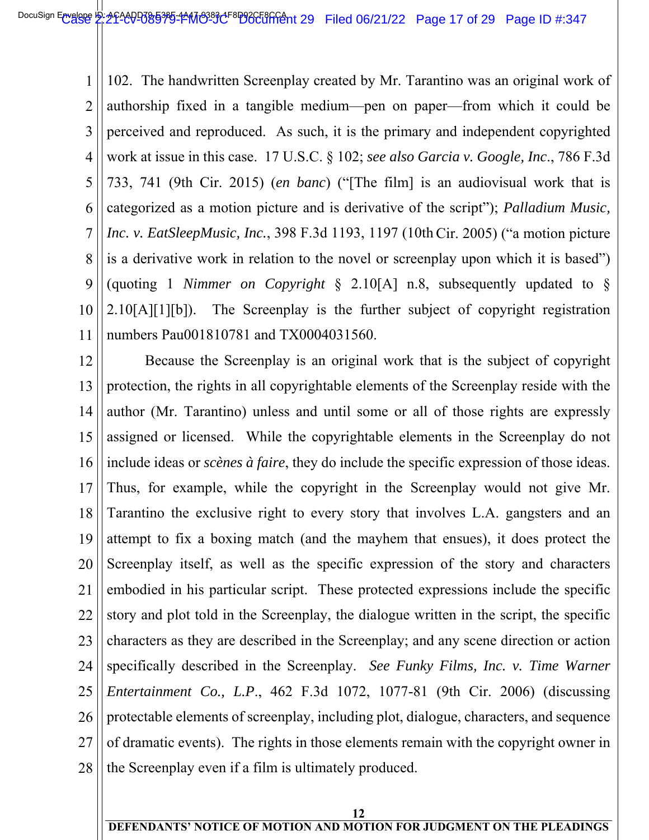1 2 3 4 5 6 7 8 9 10 11  $\overline{\phantom{a}}$ 102. The handwritten Screenplay created by Mr. Tarantino was an original work of authorship fixed in a tangible medium—pen on paper—from which it could be perceived and reproduced. As such, it is the primary and independent copyrighted work at issue in this case. 17 U.S.C. § 102; *see also Garcia v. Google, Inc*., 786 F.3d 733, 741 (9th Cir. 2015) (*en banc*) ("[The film] is an audiovisual work that is categorized as a motion picture and is derivative of the script"); *Palladium Music, Inc. v. EatSleepMusic, Inc.*, 398 F.3d 1193, 1197 (10th Cir. 2005) ("a motion picture is a derivative work in relation to the novel or screenplay upon which it is based") (quoting 1 *Nimmer on Copyright* § 2.10[A] n.8, subsequently updated to §  $2.10[A][1][b]$ . The Screenplay is the further subject of copyright registration numbers Pau001810781 and TX0004031560.

12 13 14 15 16 17 18 19 20 21 22 23 24 25 26 27 28 Because the Screenplay is an original work that is the subject of copyright protection, the rights in all copyrightable elements of the Screenplay reside with the author (Mr. Tarantino) unless and until some or all of those rights are expressly assigned or licensed. While the copyrightable elements in the Screenplay do not include ideas or *scènes à faire*, they do include the specific expression of those ideas. Thus, for example, while the copyright in the Screenplay would not give Mr. Tarantino the exclusive right to every story that involves L.A. gangsters and an attempt to fix a boxing match (and the mayhem that ensues), it does protect the Screenplay itself, as well as the specific expression of the story and characters embodied in his particular script. These protected expressions include the specific story and plot told in the Screenplay, the dialogue written in the script, the specific characters as they are described in the Screenplay; and any scene direction or action specifically described in the Screenplay. *See Funky Films, Inc. v. Time Warner Entertainment Co., L.P*., 462 F.3d 1072, 1077-81 (9th Cir. 2006) (discussing protectable elements of screenplay, including plot, dialogue, characters, and sequence of dramatic events). The rights in those elements remain with the copyright owner in the Screenplay even if a film is ultimately produced.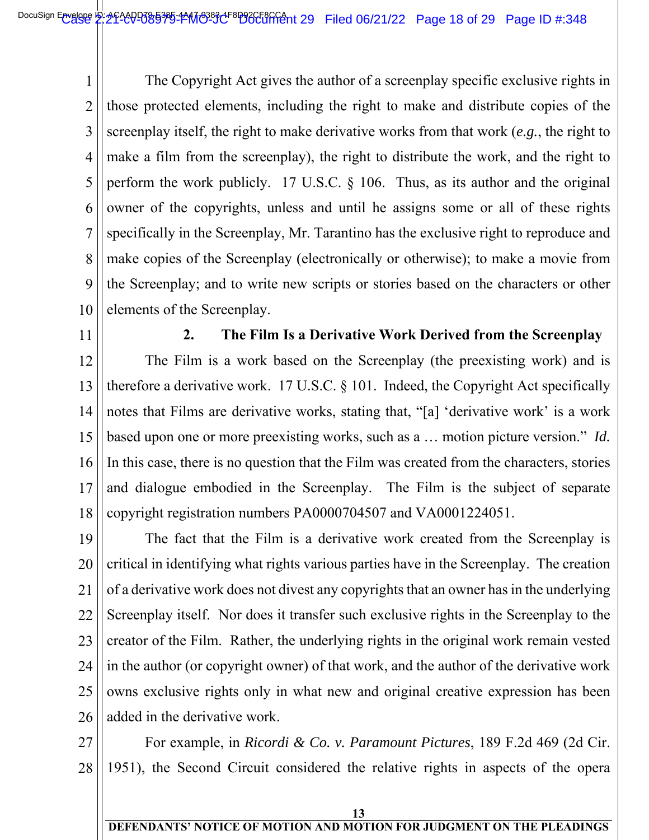1 2 3 4 5 6 7 8 9 10  $\overline{\phantom{a}}$ The Copyright Act gives the author of a screenplay specific exclusive rights in those protected elements, including the right to make and distribute copies of the screenplay itself, the right to make derivative works from that work (*e.g.*, the right to make a film from the screenplay), the right to distribute the work, and the right to perform the work publicly. 17 U.S.C. § 106. Thus, as its author and the original owner of the copyrights, unless and until he assigns some or all of these rights specifically in the Screenplay, Mr. Tarantino has the exclusive right to reproduce and make copies of the Screenplay (electronically or otherwise); to make a movie from the Screenplay; and to write new scripts or stories based on the characters or other elements of the Screenplay.

11

#### **2. The Film Is a Derivative Work Derived from the Screenplay**

12 13 14 15 16 17 18 The Film is a work based on the Screenplay (the preexisting work) and is therefore a derivative work. 17 U.S.C. § 101. Indeed, the Copyright Act specifically notes that Films are derivative works, stating that, "[a] 'derivative work' is a work based upon one or more preexisting works, such as a … motion picture version." *Id.* In this case, there is no question that the Film was created from the characters, stories and dialogue embodied in the Screenplay. The Film is the subject of separate copyright registration numbers PA0000704507 and VA0001224051.

19 20 21 22 23 24 25 26 The fact that the Film is a derivative work created from the Screenplay is critical in identifying what rights various parties have in the Screenplay. The creation of a derivative work does not divest any copyrights that an owner has in the underlying Screenplay itself. Nor does it transfer such exclusive rights in the Screenplay to the creator of the Film. Rather, the underlying rights in the original work remain vested in the author (or copyright owner) of that work, and the author of the derivative work owns exclusive rights only in what new and original creative expression has been added in the derivative work.

27 28 For example, in *Ricordi & Co. v. Paramount Pictures*, 189 F.2d 469 (2d Cir. 1951), the Second Circuit considered the relative rights in aspects of the opera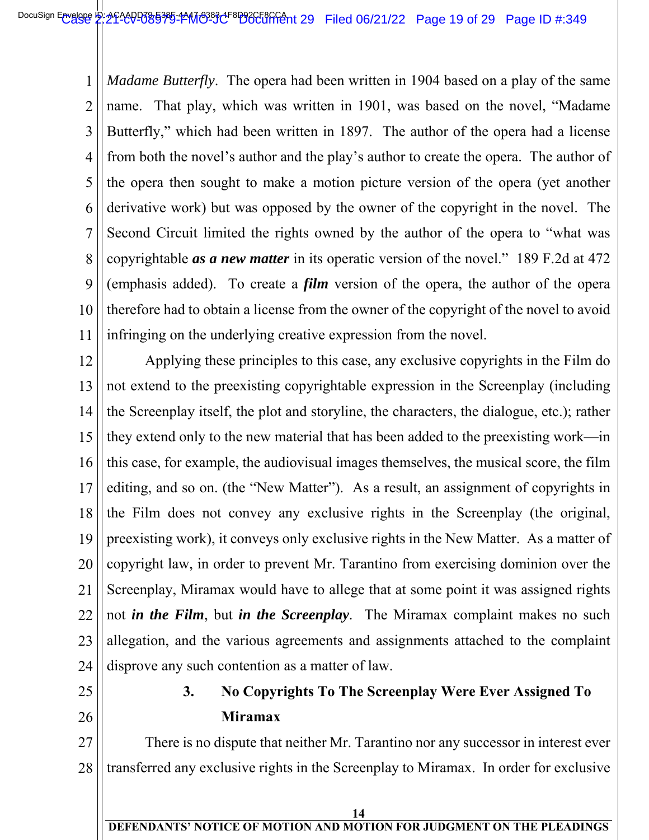1 2 3 4 5 6 7 8 9 10 11  $\overline{\phantom{a}}$ *Madame Butterfly*. The opera had been written in 1904 based on a play of the same name. That play, which was written in 1901, was based on the novel, "Madame Butterfly," which had been written in 1897. The author of the opera had a license from both the novel's author and the play's author to create the opera. The author of the opera then sought to make a motion picture version of the opera (yet another derivative work) but was opposed by the owner of the copyright in the novel. The Second Circuit limited the rights owned by the author of the opera to "what was copyrightable *as a new matter* in its operatic version of the novel." 189 F.2d at 472 (emphasis added). To create a *film* version of the opera, the author of the opera therefore had to obtain a license from the owner of the copyright of the novel to avoid infringing on the underlying creative expression from the novel.

12 13 14 15 16 17 18 19 20 21 22 23 24 Applying these principles to this case, any exclusive copyrights in the Film do not extend to the preexisting copyrightable expression in the Screenplay (including the Screenplay itself, the plot and storyline, the characters, the dialogue, etc.); rather they extend only to the new material that has been added to the preexisting work—in this case, for example, the audiovisual images themselves, the musical score, the film editing, and so on. (the "New Matter"). As a result, an assignment of copyrights in the Film does not convey any exclusive rights in the Screenplay (the original, preexisting work), it conveys only exclusive rights in the New Matter. As a matter of copyright law, in order to prevent Mr. Tarantino from exercising dominion over the Screenplay, Miramax would have to allege that at some point it was assigned rights not *in the Film*, but *in the Screenplay*. The Miramax complaint makes no such allegation, and the various agreements and assignments attached to the complaint disprove any such contention as a matter of law.

- 25
- 26

# **3. No Copyrights To The Screenplay Were Ever Assigned To Miramax**

27 28 There is no dispute that neither Mr. Tarantino nor any successor in interest ever transferred any exclusive rights in the Screenplay to Miramax. In order for exclusive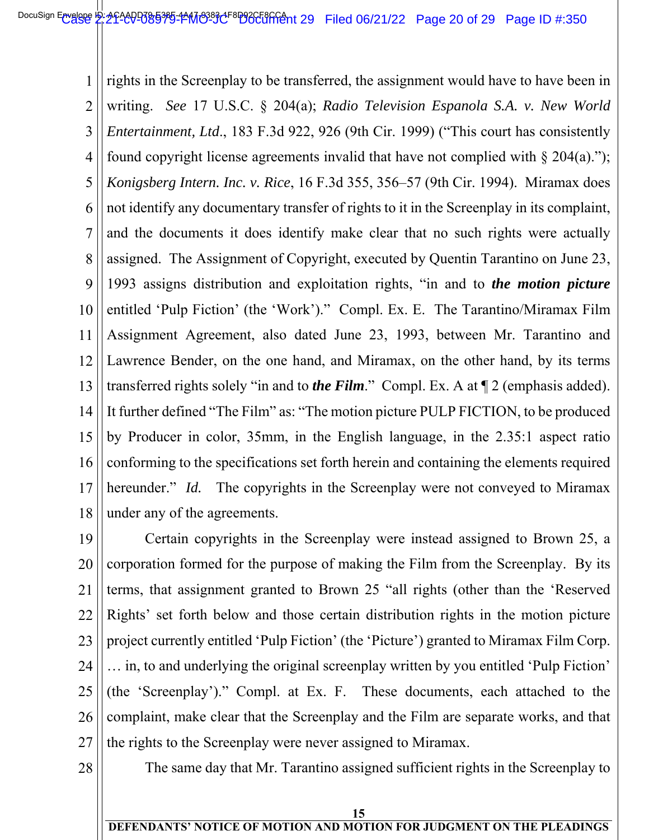1 2 3 4 5 6 7 8 9 10 11 12 13 14 15 16 17 18  $\overline{\phantom{a}}$ rights in the Screenplay to be transferred, the assignment would have to have been in writing. *See* 17 U.S.C. § 204(a); *Radio Television Espanola S.A. v. New World Entertainment, Ltd*., 183 F.3d 922, 926 (9th Cir. 1999) ("This court has consistently found copyright license agreements invalid that have not complied with  $\S 204(a)$ ."); *Konigsberg Intern. Inc. v. Rice*, 16 F.3d 355, 356–57 (9th Cir. 1994). Miramax does not identify any documentary transfer of rights to it in the Screenplay in its complaint, and the documents it does identify make clear that no such rights were actually assigned. The Assignment of Copyright, executed by Quentin Tarantino on June 23, 1993 assigns distribution and exploitation rights, "in and to *the motion picture* entitled 'Pulp Fiction' (the 'Work')." Compl. Ex. E. The Tarantino/Miramax Film Assignment Agreement, also dated June 23, 1993, between Mr. Tarantino and Lawrence Bender, on the one hand, and Miramax, on the other hand, by its terms transferred rights solely "in and to *the Film*." Compl. Ex. A at ¶ 2 (emphasis added). It further defined "The Film" as: "The motion picture PULP FICTION, to be produced by Producer in color, 35mm, in the English language, in the 2.35:1 aspect ratio conforming to the specifications set forth herein and containing the elements required hereunder." *Id.* The copyrights in the Screenplay were not conveyed to Miramax under any of the agreements.

19 20 21 22 23 24 25 26 27 Certain copyrights in the Screenplay were instead assigned to Brown 25, a corporation formed for the purpose of making the Film from the Screenplay. By its terms, that assignment granted to Brown 25 "all rights (other than the 'Reserved Rights' set forth below and those certain distribution rights in the motion picture project currently entitled 'Pulp Fiction' (the 'Picture') granted to Miramax Film Corp. … in, to and underlying the original screenplay written by you entitled 'Pulp Fiction' (the 'Screenplay')." Compl. at Ex. F. These documents, each attached to the complaint, make clear that the Screenplay and the Film are separate works, and that the rights to the Screenplay were never assigned to Miramax.

28

The same day that Mr. Tarantino assigned sufficient rights in the Screenplay to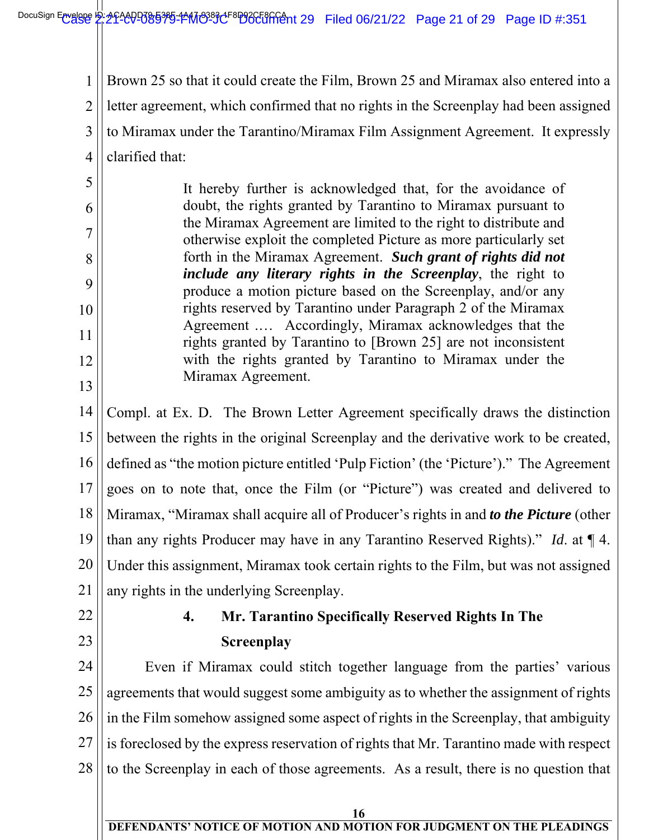1 2 3 4  $\overline{\phantom{a}}$ Brown 25 so that it could create the Film, Brown 25 and Miramax also entered into a letter agreement, which confirmed that no rights in the Screenplay had been assigned to Miramax under the Tarantino/Miramax Film Assignment Agreement. It expressly clarified that:

It hereby further is acknowledged that, for the avoidance of doubt, the rights granted by Tarantino to Miramax pursuant to the Miramax Agreement are limited to the right to distribute and otherwise exploit the completed Picture as more particularly set forth in the Miramax Agreement. *Such grant of rights did not include any literary rights in the Screenplay*, the right to produce a motion picture based on the Screenplay, and/or any rights reserved by Tarantino under Paragraph 2 of the Miramax Agreement .… Accordingly, Miramax acknowledges that the rights granted by Tarantino to [Brown 25] are not inconsistent with the rights granted by Tarantino to Miramax under the Miramax Agreement.

14 15 16 17 18 19 20 21 Compl. at Ex. D. The Brown Letter Agreement specifically draws the distinction between the rights in the original Screenplay and the derivative work to be created, defined as "the motion picture entitled 'Pulp Fiction' (the 'Picture')." The Agreement goes on to note that, once the Film (or "Picture") was created and delivered to Miramax, "Miramax shall acquire all of Producer's rights in and *to the Picture* (other than any rights Producer may have in any Tarantino Reserved Rights)." *Id*. at ¶ 4. Under this assignment, Miramax took certain rights to the Film, but was not assigned any rights in the underlying Screenplay.

22

5

6

7

8

9

10

11

12

13

23

# **4. Mr. Tarantino Specifically Reserved Rights In The Screenplay**

24 25 26 27 28 Even if Miramax could stitch together language from the parties' various agreements that would suggest some ambiguity as to whether the assignment of rights in the Film somehow assigned some aspect of rights in the Screenplay, that ambiguity is foreclosed by the express reservation of rights that Mr. Tarantino made with respect to the Screenplay in each of those agreements. As a result, there is no question that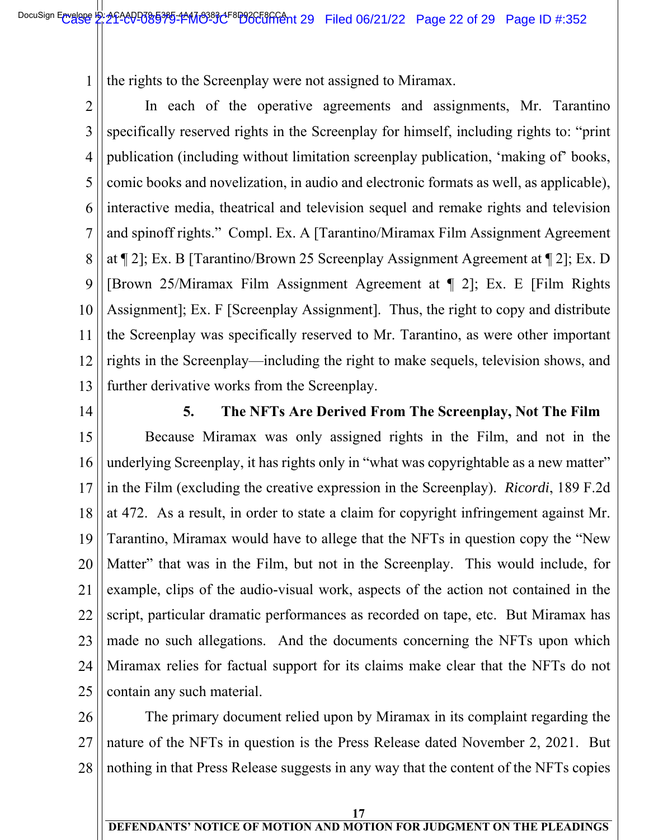the rights to the Screenplay were not assigned to Miramax.

further derivative works from the Screenplay.

2

3

4

5

6

7

8

9

10

11

12

13

1

 $\overline{\phantom{a}}$ In each of the operative agreements and assignments, Mr. Tarantino specifically reserved rights in the Screenplay for himself, including rights to: "print publication (including without limitation screenplay publication, 'making of' books, comic books and novelization, in audio and electronic formats as well, as applicable), interactive media, theatrical and television sequel and remake rights and television and spinoff rights." Compl. Ex. A [Tarantino/Miramax Film Assignment Agreement at ¶ 2]; Ex. B [Tarantino/Brown 25 Screenplay Assignment Agreement at ¶ 2]; Ex. D [Brown 25/Miramax Film Assignment Agreement at ¶ 2]; Ex. E [Film Rights Assignment]; Ex. F [Screenplay Assignment]. Thus, the right to copy and distribute the Screenplay was specifically reserved to Mr. Tarantino, as were other important rights in the Screenplay—including the right to make sequels, television shows, and

14

**5. The NFTs Are Derived From The Screenplay, Not The Film**

15 16 17 18 19 20 21 22 23 24 25 Because Miramax was only assigned rights in the Film, and not in the underlying Screenplay, it has rights only in "what was copyrightable as a new matter" in the Film (excluding the creative expression in the Screenplay). *Ricordi*, 189 F.2d at 472. As a result, in order to state a claim for copyright infringement against Mr. Tarantino, Miramax would have to allege that the NFTs in question copy the "New Matter" that was in the Film, but not in the Screenplay. This would include, for example, clips of the audio-visual work, aspects of the action not contained in the script, particular dramatic performances as recorded on tape, etc. But Miramax has made no such allegations. And the documents concerning the NFTs upon which Miramax relies for factual support for its claims make clear that the NFTs do not contain any such material.

26 27 28 The primary document relied upon by Miramax in its complaint regarding the nature of the NFTs in question is the Press Release dated November 2, 2021. But nothing in that Press Release suggests in any way that the content of the NFTs copies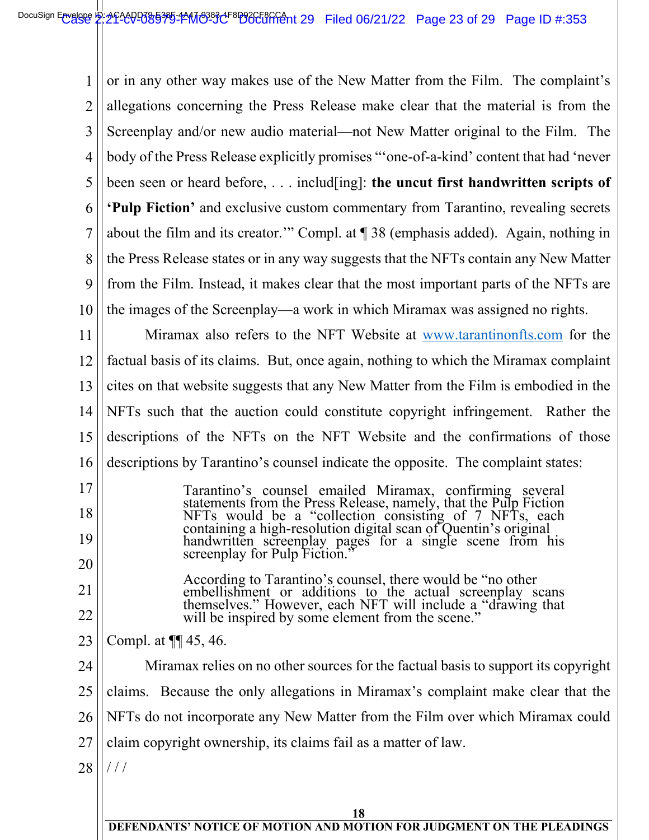1 2 3 4 5 6 7 8 9 10  $\overline{\phantom{a}}$ or in any other way makes use of the New Matter from the Film. The complaint's allegations concerning the Press Release make clear that the material is from the Screenplay and/or new audio material—not New Matter original to the Film. The body of the Press Release explicitly promises "'one-of-a-kind' content that had 'never been seen or heard before, . . . includ[ing]: **the uncut first handwritten scripts of 'Pulp Fiction'** and exclusive custom commentary from Tarantino, revealing secrets about the film and its creator.'" Compl. at ¶ 38 (emphasis added). Again, nothing in the Press Release states or in any way suggests that the NFTs contain any New Matter from the Film. Instead, it makes clear that the most important parts of the NFTs are the images of the Screenplay—a work in which Miramax was assigned no rights.

11 12 13 14 15 16 Miramax also refers to the NFT Website at www.tarantinonfts.com for the factual basis of its claims. But, once again, nothing to which the Miramax complaint cites on that website suggests that any New Matter from the Film is embodied in the NFTs such that the auction could constitute copyright infringement. Rather the descriptions of the NFTs on the NFT Website and the confirmations of those descriptions by Tarantino's counsel indicate the opposite. The complaint states:

17 18 19 20 Tarantino's counsel emailed Miramax, confirming several statements from the Press Release, namely, that the Pulp Fiction NFTs would be a "collection consisting of 7 NFTs, each containing a high-resolution digital scan of Quentin's original handwritten screenplay pages for a single scene from his screenplay for Pulp Fiction."

According to Tarantino's counsel, there would be "no other embellishment or additions to the actual screenplay scans themselves." However, each NFT will include a "drawing that will be inspired by some element from the scene."

23 Compl. at ¶¶ 45, 46.

21

22

24 25 26 27 28 Miramax relies on no other sources for the factual basis to support its copyright claims. Because the only allegations in Miramax's complaint make clear that the NFTs do not incorporate any New Matter from the Film over which Miramax could claim copyright ownership, its claims fail as a matter of law. / / /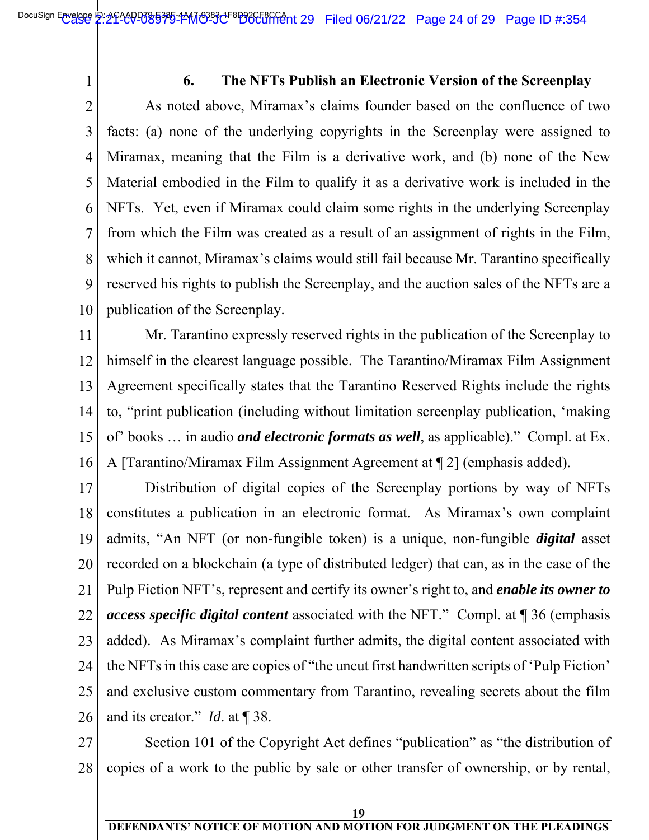1

#### **6. The NFTs Publish an Electronic Version of the Screenplay**

2 3 4 5 6 7 8 9 10  $\overline{\phantom{a}}$ As noted above, Miramax's claims founder based on the confluence of two facts: (a) none of the underlying copyrights in the Screenplay were assigned to Miramax, meaning that the Film is a derivative work, and (b) none of the New Material embodied in the Film to qualify it as a derivative work is included in the NFTs. Yet, even if Miramax could claim some rights in the underlying Screenplay from which the Film was created as a result of an assignment of rights in the Film, which it cannot, Miramax's claims would still fail because Mr. Tarantino specifically reserved his rights to publish the Screenplay, and the auction sales of the NFTs are a publication of the Screenplay.

11 12 13 14 15 16 Mr. Tarantino expressly reserved rights in the publication of the Screenplay to himself in the clearest language possible. The Tarantino/Miramax Film Assignment Agreement specifically states that the Tarantino Reserved Rights include the rights to, "print publication (including without limitation screenplay publication, 'making of' books … in audio *and electronic formats as well*, as applicable)." Compl. at Ex. A [Tarantino/Miramax Film Assignment Agreement at ¶ 2] (emphasis added).

17 18 19 20 21 22 23 24 25 26 Distribution of digital copies of the Screenplay portions by way of NFTs constitutes a publication in an electronic format. As Miramax's own complaint admits, "An NFT (or non-fungible token) is a unique, non-fungible *digital* asset recorded on a blockchain (a type of distributed ledger) that can, as in the case of the Pulp Fiction NFT's, represent and certify its owner's right to, and *enable its owner to access specific digital content* associated with the NFT." Compl. at ¶ 36 (emphasis added). As Miramax's complaint further admits, the digital content associated with the NFTs in this case are copies of "the uncut first handwritten scripts of 'Pulp Fiction' and exclusive custom commentary from Tarantino, revealing secrets about the film and its creator." *Id*. at ¶ 38.

27 28 Section 101 of the Copyright Act defines "publication" as "the distribution of copies of a work to the public by sale or other transfer of ownership, or by rental,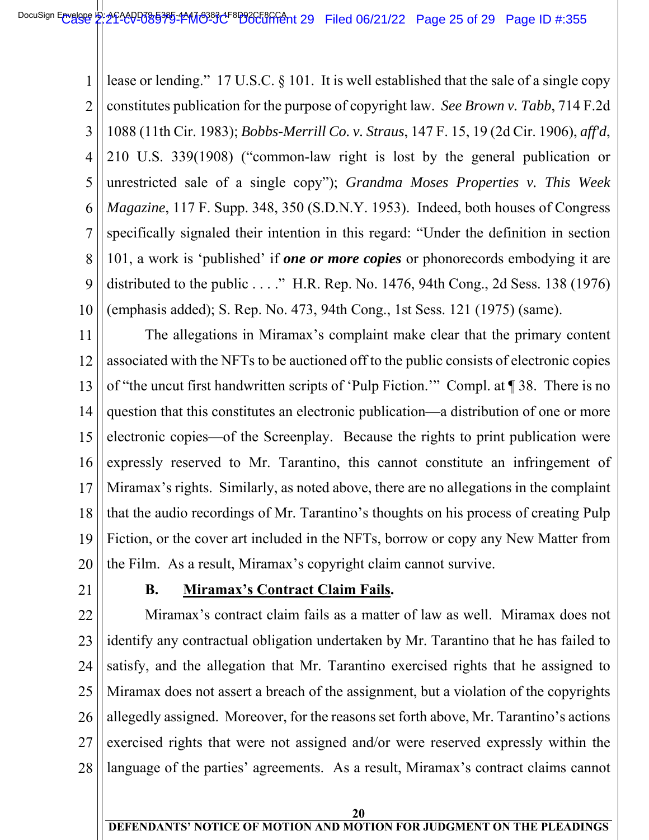1 2 3 4 5 6 7 8 9 10  $\overline{\phantom{a}}$ lease or lending." 17 U.S.C. § 101. It is well established that the sale of a single copy constitutes publication for the purpose of copyright law. *See Brown v. Tabb*, 714 F.2d 1088 (11th Cir. 1983); *Bobbs-Merrill Co. v. Straus*, 147 F. 15, 19 (2d Cir. 1906), *aff'd*, 210 U.S. 339(1908) ("common-law right is lost by the general publication or unrestricted sale of a single copy"); *Grandma Moses Properties v. This Week Magazine*, 117 F. Supp. 348, 350 (S.D.N.Y. 1953). Indeed, both houses of Congress specifically signaled their intention in this regard: "Under the definition in section 101, a work is 'published' if *one or more copies* or phonorecords embodying it are distributed to the public . . . ." H.R. Rep. No. 1476, 94th Cong., 2d Sess. 138 (1976) (emphasis added); S. Rep. No. 473, 94th Cong., 1st Sess. 121 (1975) (same).

11 12 13 14 15 16 17 18 19 20 The allegations in Miramax's complaint make clear that the primary content associated with the NFTs to be auctioned off to the public consists of electronic copies of "the uncut first handwritten scripts of 'Pulp Fiction.'" Compl. at ¶ 38. There is no question that this constitutes an electronic publication—a distribution of one or more electronic copies—of the Screenplay. Because the rights to print publication were expressly reserved to Mr. Tarantino, this cannot constitute an infringement of Miramax's rights. Similarly, as noted above, there are no allegations in the complaint that the audio recordings of Mr. Tarantino's thoughts on his process of creating Pulp Fiction, or the cover art included in the NFTs, borrow or copy any New Matter from the Film. As a result, Miramax's copyright claim cannot survive.

21

#### **B. Miramax's Contract Claim Fails.**

22 23 24 25 26 27 28 Miramax's contract claim fails as a matter of law as well. Miramax does not identify any contractual obligation undertaken by Mr. Tarantino that he has failed to satisfy, and the allegation that Mr. Tarantino exercised rights that he assigned to Miramax does not assert a breach of the assignment, but a violation of the copyrights allegedly assigned. Moreover, for the reasons set forth above, Mr. Tarantino's actions exercised rights that were not assigned and/or were reserved expressly within the language of the parties' agreements. As a result, Miramax's contract claims cannot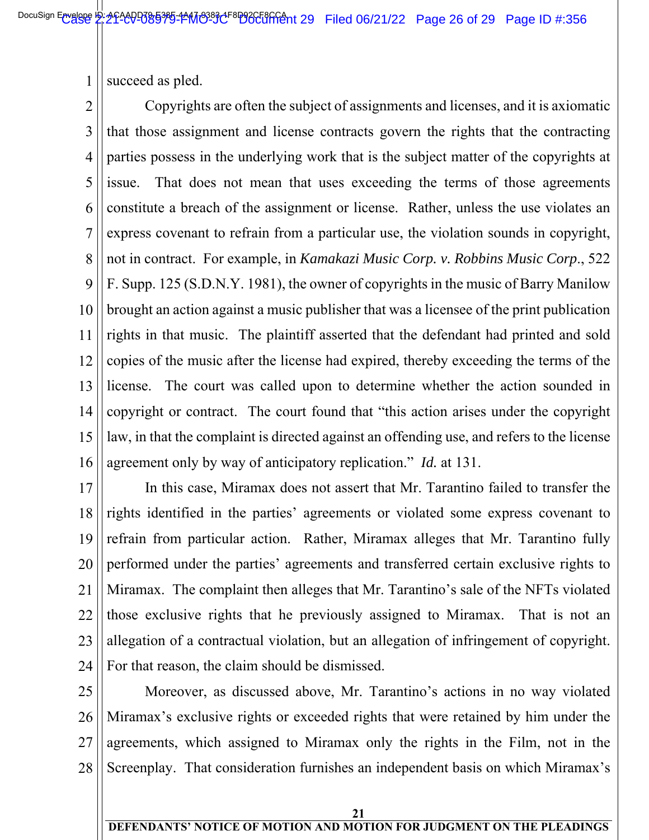1 succeed as pled.

2 3 4 5 6 7 8 9 10 11 12 13 14 15 16  $\overline{\phantom{a}}$  Copyrights are often the subject of assignments and licenses, and it is axiomatic that those assignment and license contracts govern the rights that the contracting parties possess in the underlying work that is the subject matter of the copyrights at issue. That does not mean that uses exceeding the terms of those agreements constitute a breach of the assignment or license. Rather, unless the use violates an express covenant to refrain from a particular use, the violation sounds in copyright, not in contract. For example, in *Kamakazi Music Corp. v. Robbins Music Corp*., 522 F. Supp. 125 (S.D.N.Y. 1981), the owner of copyrights in the music of Barry Manilow brought an action against a music publisher that was a licensee of the print publication rights in that music. The plaintiff asserted that the defendant had printed and sold copies of the music after the license had expired, thereby exceeding the terms of the license. The court was called upon to determine whether the action sounded in copyright or contract. The court found that "this action arises under the copyright law, in that the complaint is directed against an offending use, and refers to the license agreement only by way of anticipatory replication." *Id.* at 131.

17 18 19 20 21 22 23 24 In this case, Miramax does not assert that Mr. Tarantino failed to transfer the rights identified in the parties' agreements or violated some express covenant to refrain from particular action. Rather, Miramax alleges that Mr. Tarantino fully performed under the parties' agreements and transferred certain exclusive rights to Miramax. The complaint then alleges that Mr. Tarantino's sale of the NFTs violated those exclusive rights that he previously assigned to Miramax. That is not an allegation of a contractual violation, but an allegation of infringement of copyright. For that reason, the claim should be dismissed.

25 26 27 28 Moreover, as discussed above, Mr. Tarantino's actions in no way violated Miramax's exclusive rights or exceeded rights that were retained by him under the agreements, which assigned to Miramax only the rights in the Film, not in the Screenplay. That consideration furnishes an independent basis on which Miramax's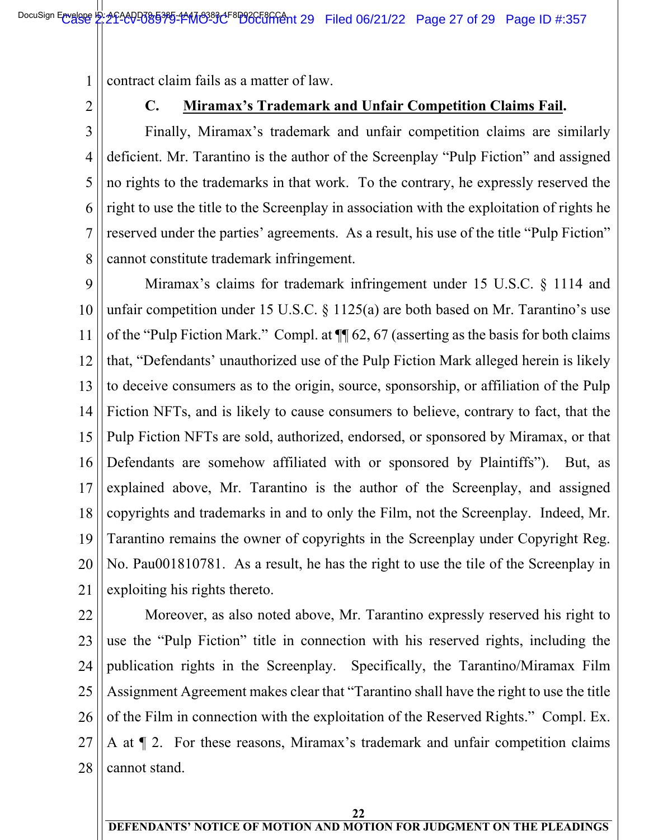1 contract claim fails as a matter of law.

2

 $\overline{\phantom{a}}$ 

#### **C. Miramax's Trademark and Unfair Competition Claims Fail.**

3 4 5 6 7 8 Finally, Miramax's trademark and unfair competition claims are similarly deficient. Mr. Tarantino is the author of the Screenplay "Pulp Fiction" and assigned no rights to the trademarks in that work. To the contrary, he expressly reserved the right to use the title to the Screenplay in association with the exploitation of rights he reserved under the parties' agreements. As a result, his use of the title "Pulp Fiction" cannot constitute trademark infringement.

9 10 11 12 13 14 15 16 17 18 19 20 21 Miramax's claims for trademark infringement under 15 U.S.C. § 1114 and unfair competition under 15 U.S.C. § 1125(a) are both based on Mr. Tarantino's use of the "Pulp Fiction Mark." Compl. at ¶¶ 62, 67 (asserting as the basis for both claims that, "Defendants' unauthorized use of the Pulp Fiction Mark alleged herein is likely to deceive consumers as to the origin, source, sponsorship, or affiliation of the Pulp Fiction NFTs, and is likely to cause consumers to believe, contrary to fact, that the Pulp Fiction NFTs are sold, authorized, endorsed, or sponsored by Miramax, or that Defendants are somehow affiliated with or sponsored by Plaintiffs"). But, as explained above, Mr. Tarantino is the author of the Screenplay, and assigned copyrights and trademarks in and to only the Film, not the Screenplay. Indeed, Mr. Tarantino remains the owner of copyrights in the Screenplay under Copyright Reg. No. Pau001810781. As a result, he has the right to use the tile of the Screenplay in exploiting his rights thereto.

22 23 24 25 26 27 28 Moreover, as also noted above, Mr. Tarantino expressly reserved his right to use the "Pulp Fiction" title in connection with his reserved rights, including the publication rights in the Screenplay. Specifically, the Tarantino/Miramax Film Assignment Agreement makes clear that "Tarantino shall have the right to use the title of the Film in connection with the exploitation of the Reserved Rights." Compl. Ex. A at ¶ 2. For these reasons, Miramax's trademark and unfair competition claims cannot stand.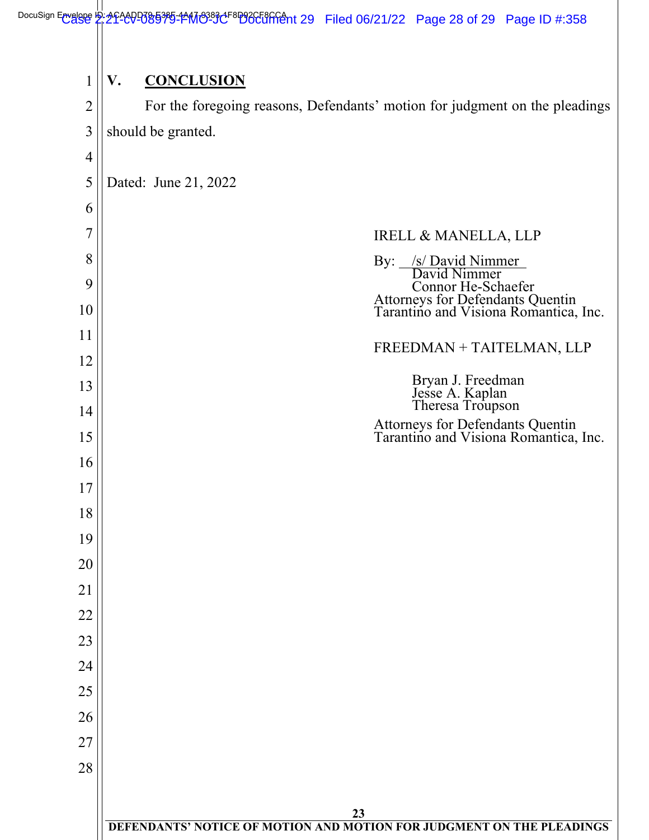| 1              | V.<br><b>CONCLUSION</b>                                                                         |
|----------------|-------------------------------------------------------------------------------------------------|
| $\overline{2}$ | For the foregoing reasons, Defendants' motion for judgment on the pleadings                     |
| 3              | should be granted.                                                                              |
| 4              |                                                                                                 |
| 5              | Dated: June 21, 2022                                                                            |
| 6              |                                                                                                 |
| 7              | <b>IRELL &amp; MANELLA, LLP</b>                                                                 |
| 8              | /s/ David Nimmer<br>David Nimmer<br>$\gamma$ :                                                  |
| 9              |                                                                                                 |
| 10             | Connor He-Schaefer<br>Attorneys for Defendants Quentin<br>Tarantino and Visiona Romantica, Inc. |
| 11             | FREEDMAN + TAITELMAN, LLP                                                                       |
| 12             |                                                                                                 |
| 13             | Bryan J. Freedman<br>Jesse A. Kaplan<br>Theresa Troupson                                        |
| 14             | Attorneys for Defendants Quentin<br>Tarantino and Visiona Romantica, Inc.                       |
| 15             |                                                                                                 |
| 16             |                                                                                                 |
| 17             |                                                                                                 |
| 18             |                                                                                                 |
| 19             |                                                                                                 |
| 20             |                                                                                                 |
| 21             |                                                                                                 |
| 22             |                                                                                                 |
| 23             |                                                                                                 |
| 24             |                                                                                                 |
| 25             |                                                                                                 |
| 26             |                                                                                                 |
| 27<br>28       |                                                                                                 |
|                |                                                                                                 |
|                | 23                                                                                              |
|                | DEFENDANTS' NOTICE OF MOTION AND MOTION FOR JUDGMENT ON THE PLEADINGS                           |